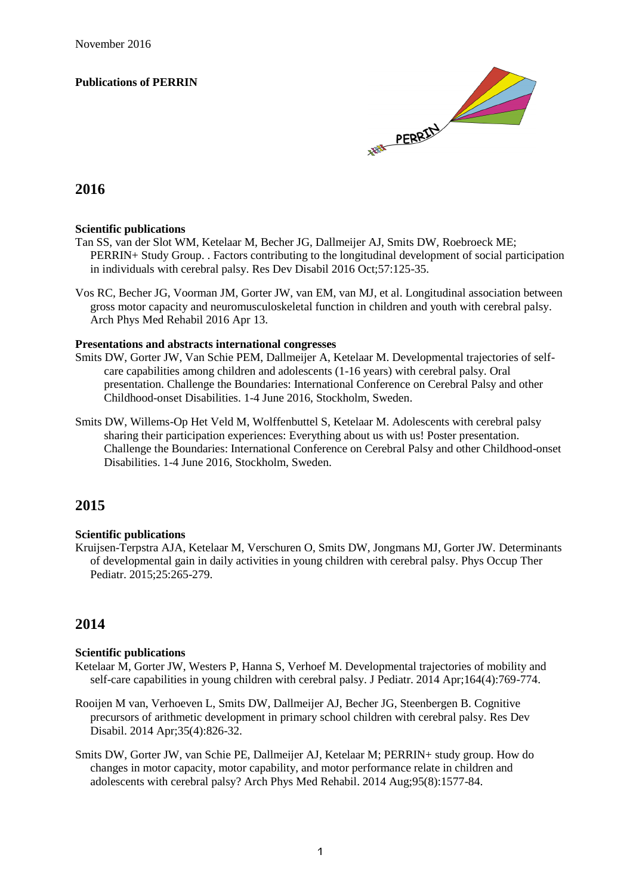#### **Publications of PERRIN**



# **2016**

#### **Scientific publications**

- Tan SS, van der Slot WM, Ketelaar M, Becher JG, Dallmeijer AJ, Smits DW, Roebroeck ME; PERRIN+ Study Group. . Factors contributing to the longitudinal development of social participation in individuals with cerebral palsy. Res Dev Disabil 2016 Oct;57:125-35.
- Vos RC, Becher JG, Voorman JM, Gorter JW, van EM, van MJ, et al. Longitudinal association between gross motor capacity and neuromusculoskeletal function in children and youth with cerebral palsy. Arch Phys Med Rehabil 2016 Apr 13.

#### **Presentations and abstracts international congresses**

- Smits DW, Gorter JW, Van Schie PEM, Dallmeijer A, Ketelaar M. Developmental trajectories of selfcare capabilities among children and adolescents (1-16 years) with cerebral palsy. Oral presentation. Challenge the Boundaries: International Conference on Cerebral Palsy and other Childhood-onset Disabilities. 1-4 June 2016, Stockholm, Sweden.
- Smits DW, Willems-Op Het Veld M, Wolffenbuttel S, Ketelaar M. Adolescents with cerebral palsy sharing their participation experiences: Everything about us with us! Poster presentation. Challenge the Boundaries: International Conference on Cerebral Palsy and other Childhood-onset Disabilities. 1-4 June 2016, Stockholm, Sweden.

# **2015**

#### **Scientific publications**

Kruijsen-Terpstra AJA, Ketelaar M, Verschuren O, Smits DW, Jongmans MJ, Gorter JW. Determinants of developmental gain in daily activities in young children with cerebral palsy. Phys Occup Ther Pediatr. 2015;25:265-279.

# **2014**

#### **Scientific publications**

- Ketelaar M, Gorter JW, Westers P, Hanna S, Verhoef M. Developmental trajectories of mobility and self-care capabilities in young children with cerebral palsy. J Pediatr. 2014 Apr;164(4):769-774.
- Rooijen M van, Verhoeven L, Smits DW, Dallmeijer AJ, Becher JG, Steenbergen B. Cognitive precursors of arithmetic development in primary school children with cerebral palsy. Res Dev Disabil. 2014 Apr;35(4):826-32.
- Smits DW, Gorter JW, van Schie PE, Dallmeijer AJ, Ketelaar M; PERRIN+ study group. How do changes in motor capacity, motor capability, and motor performance relate in children and adolescents with cerebral palsy? Arch Phys Med Rehabil. 2014 Aug;95(8):1577-84.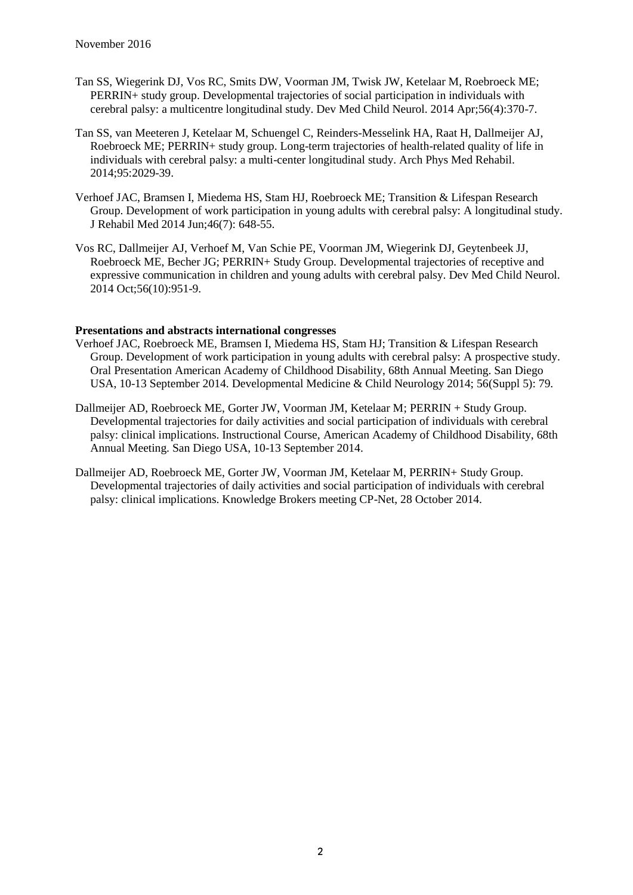- Tan SS, Wiegerink DJ, Vos RC, Smits DW, Voorman JM, Twisk JW, Ketelaar M, Roebroeck ME; PERRIN+ study group. Developmental trajectories of social participation in individuals with cerebral palsy: a multicentre longitudinal study. Dev Med Child Neurol. 2014 Apr;56(4):370-7.
- Tan SS, van Meeteren J, Ketelaar M, Schuengel C, Reinders-Messelink HA, Raat H, Dallmeijer AJ, Roebroeck ME; PERRIN+ study group. Long-term trajectories of health-related quality of life in individuals with cerebral palsy: a multi-center longitudinal study. Arch Phys Med Rehabil. 2014;95:2029-39.
- Verhoef JAC, Bramsen I, Miedema HS, Stam HJ, Roebroeck ME; Transition & Lifespan Research Group. Development of work participation in young adults with cerebral palsy: A longitudinal study. J Rehabil Med 2014 Jun;46(7): 648-55.
- Vos RC, Dallmeijer AJ, Verhoef M, Van Schie PE, Voorman JM, Wiegerink DJ, Geytenbeek JJ, Roebroeck ME, Becher JG; PERRIN+ Study Group. Developmental trajectories of receptive and expressive communication in children and young adults with cerebral palsy. Dev Med Child Neurol. 2014 Oct;56(10):951-9.

- Verhoef JAC, Roebroeck ME, Bramsen I, Miedema HS, Stam HJ; Transition & Lifespan Research Group. Development of work participation in young adults with cerebral palsy: A prospective study. Oral Presentation American Academy of Childhood Disability, 68th Annual Meeting. San Diego USA, 10-13 September 2014. Developmental Medicine & Child Neurology 2014; 56(Suppl 5): 79.
- Dallmeijer AD, Roebroeck ME, Gorter JW, Voorman JM, Ketelaar M; PERRIN + Study Group. Developmental trajectories for daily activities and social participation of individuals with cerebral palsy: clinical implications. Instructional Course, American Academy of Childhood Disability, 68th Annual Meeting. San Diego USA, 10-13 September 2014.
- Dallmeijer AD, Roebroeck ME, Gorter JW, Voorman JM, Ketelaar M, PERRIN+ Study Group. Developmental trajectories of daily activities and social participation of individuals with cerebral palsy: clinical implications. Knowledge Brokers meeting CP-Net, 28 October 2014.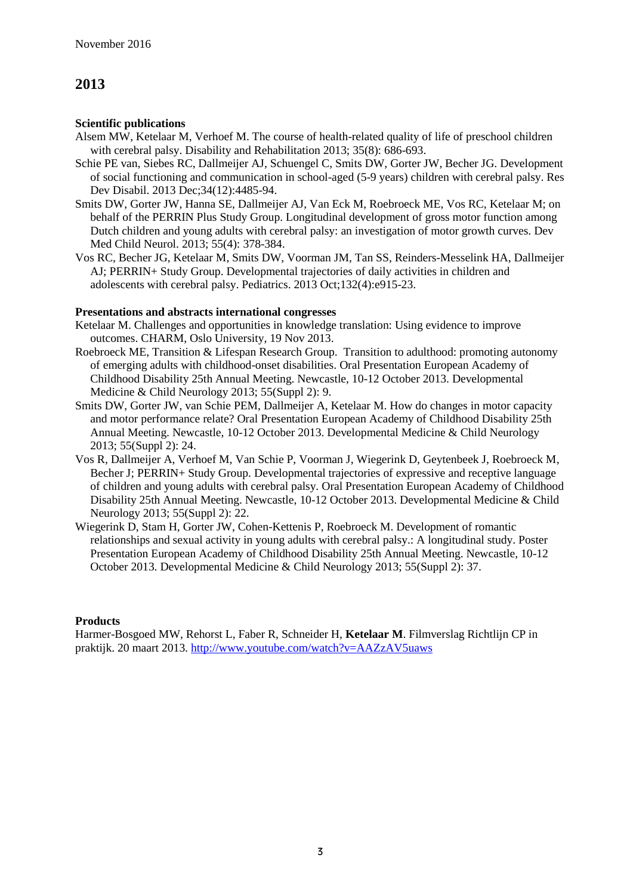#### **Scientific publications**

- Alsem MW, Ketelaar M, Verhoef M. The course of health-related quality of life of preschool children with cerebral palsy. Disability and Rehabilitation 2013; 35(8): 686-693.
- Schie PE van, Siebes RC, Dallmeijer AJ, Schuengel C, Smits DW, Gorter JW, Becher JG. Development of social functioning and communication in school-aged (5-9 years) children with cerebral palsy. Res Dev Disabil. 2013 Dec;34(12):4485-94.
- Smits DW, Gorter JW, Hanna SE, Dallmeijer AJ, Van Eck M, Roebroeck ME, Vos RC, Ketelaar M; on behalf of the PERRIN Plus Study Group. Longitudinal development of gross motor function among Dutch children and young adults with cerebral palsy: an investigation of motor growth curves. Dev Med Child Neurol. 2013; 55(4): 378-384.
- Vos RC, Becher JG, Ketelaar M, Smits DW, Voorman JM, Tan SS, Reinders-Messelink HA, Dallmeijer AJ; PERRIN+ Study Group. Developmental trajectories of daily activities in children and adolescents with cerebral palsy. Pediatrics. 2013 Oct;132(4):e915-23.

### **Presentations and abstracts international congresses**

- Ketelaar M. Challenges and opportunities in knowledge translation: Using evidence to improve outcomes. CHARM, Oslo University, 19 Nov 2013.
- Roebroeck ME, Transition & Lifespan Research Group. Transition to adulthood: promoting autonomy of emerging adults with childhood-onset disabilities. Oral Presentation European Academy of Childhood Disability 25th Annual Meeting. Newcastle, 10-12 October 2013. Developmental Medicine & Child Neurology 2013; 55(Suppl 2): 9.
- Smits DW, Gorter JW, van Schie PEM, Dallmeijer A, Ketelaar M. How do changes in motor capacity and motor performance relate? Oral Presentation European Academy of Childhood Disability 25th Annual Meeting. Newcastle, 10-12 October 2013. Developmental Medicine & Child Neurology 2013; 55(Suppl 2): 24.
- Vos R, Dallmeijer A, Verhoef M, Van Schie P, Voorman J, Wiegerink D, Geytenbeek J, Roebroeck M, Becher J; PERRIN+ Study Group. Developmental trajectories of expressive and receptive language of children and young adults with cerebral palsy. Oral Presentation European Academy of Childhood Disability 25th Annual Meeting. Newcastle, 10-12 October 2013. Developmental Medicine & Child Neurology 2013; 55(Suppl 2): 22.
- Wiegerink D, Stam H, Gorter JW, Cohen-Kettenis P, Roebroeck M. Development of romantic relationships and sexual activity in young adults with cerebral palsy.: A longitudinal study. Poster Presentation European Academy of Childhood Disability 25th Annual Meeting. Newcastle, 10-12 October 2013. Developmental Medicine & Child Neurology 2013; 55(Suppl 2): 37.

### **Products**

Harmer-Bosgoed MW, Rehorst L, Faber R, Schneider H, **Ketelaar M**. Filmverslag Richtlijn CP in praktijk. 20 maart 2013. <http://www.youtube.com/watch?v=AAZzAV5uaws>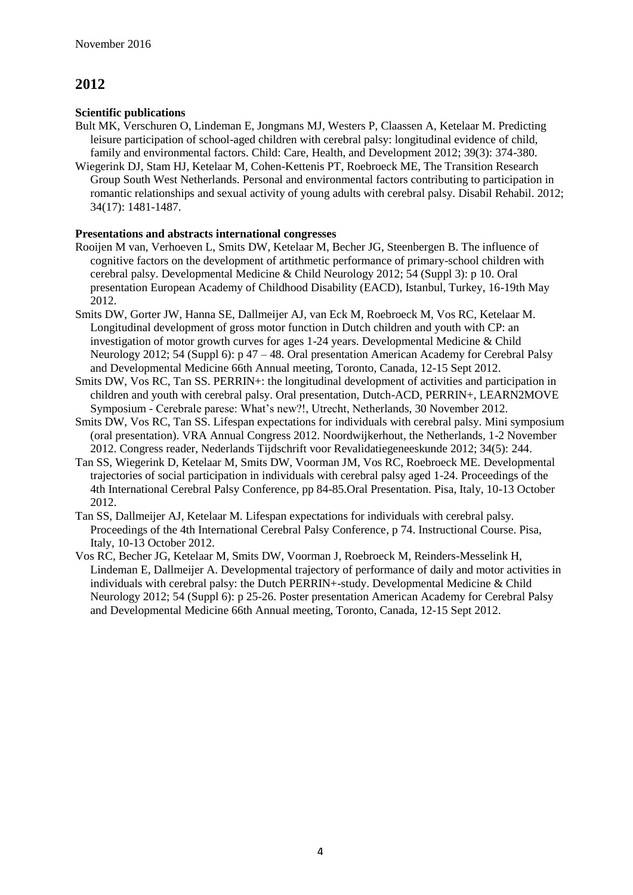### **Scientific publications**

- Bult MK, Verschuren O, Lindeman E, Jongmans MJ, Westers P, Claassen A, Ketelaar M. Predicting leisure participation of school-aged children with cerebral palsy: longitudinal evidence of child, family and environmental factors. Child: Care, Health, and Development 2012; 39(3): 374-380.
- Wiegerink DJ, Stam HJ, Ketelaar M, Cohen-Kettenis PT, Roebroeck ME, The Transition Research Group South West Netherlands. Personal and environmental factors contributing to participation in romantic relationships and sexual activity of young adults with cerebral palsy. Disabil Rehabil. 2012; 34(17): 1481-1487.

- Rooijen M van, Verhoeven L, Smits DW, Ketelaar M, Becher JG, Steenbergen B. The influence of cognitive factors on the development of artithmetic performance of primary-school children with cerebral palsy. Developmental Medicine & Child Neurology 2012; 54 (Suppl 3): p 10. Oral presentation European Academy of Childhood Disability (EACD), Istanbul, Turkey, 16-19th May 2012.
- Smits DW, Gorter JW, Hanna SE, Dallmeijer AJ, van Eck M, Roebroeck M, Vos RC, Ketelaar M. Longitudinal development of gross motor function in Dutch children and youth with CP: an investigation of motor growth curves for ages 1-24 years. Developmental Medicine & Child Neurology 2012; 54 (Suppl 6): p 47 – 48. Oral presentation American Academy for Cerebral Palsy and Developmental Medicine 66th Annual meeting, Toronto, Canada, 12-15 Sept 2012.
- Smits DW, Vos RC, Tan SS. PERRIN+: the longitudinal development of activities and participation in children and youth with cerebral palsy. Oral presentation, Dutch-ACD, PERRIN+, LEARN2MOVE Symposium - Cerebrale parese: What's new?!, Utrecht, Netherlands, 30 November 2012.
- Smits DW, Vos RC, Tan SS. Lifespan expectations for individuals with cerebral palsy. Mini symposium (oral presentation). VRA Annual Congress 2012. Noordwijkerhout, the Netherlands, 1-2 November 2012. Congress reader, Nederlands Tijdschrift voor Revalidatiegeneeskunde 2012; 34(5): 244.
- Tan SS, Wiegerink D, Ketelaar M, Smits DW, Voorman JM, Vos RC, Roebroeck ME. Developmental trajectories of social participation in individuals with cerebral palsy aged 1-24. Proceedings of the 4th International Cerebral Palsy Conference, pp 84-85.Oral Presentation. Pisa, Italy, 10-13 October 2012.
- Tan SS, Dallmeijer AJ, Ketelaar M. Lifespan expectations for individuals with cerebral palsy. Proceedings of the 4th International Cerebral Palsy Conference, p 74. Instructional Course. Pisa, Italy, 10-13 October 2012.
- Vos RC, Becher JG, Ketelaar M, Smits DW, Voorman J, Roebroeck M, Reinders-Messelink H, Lindeman E, Dallmeijer A. Developmental trajectory of performance of daily and motor activities in individuals with cerebral palsy: the Dutch PERRIN+-study. Developmental Medicine & Child Neurology 2012; 54 (Suppl 6): p 25-26. Poster presentation American Academy for Cerebral Palsy and Developmental Medicine 66th Annual meeting, Toronto, Canada, 12-15 Sept 2012.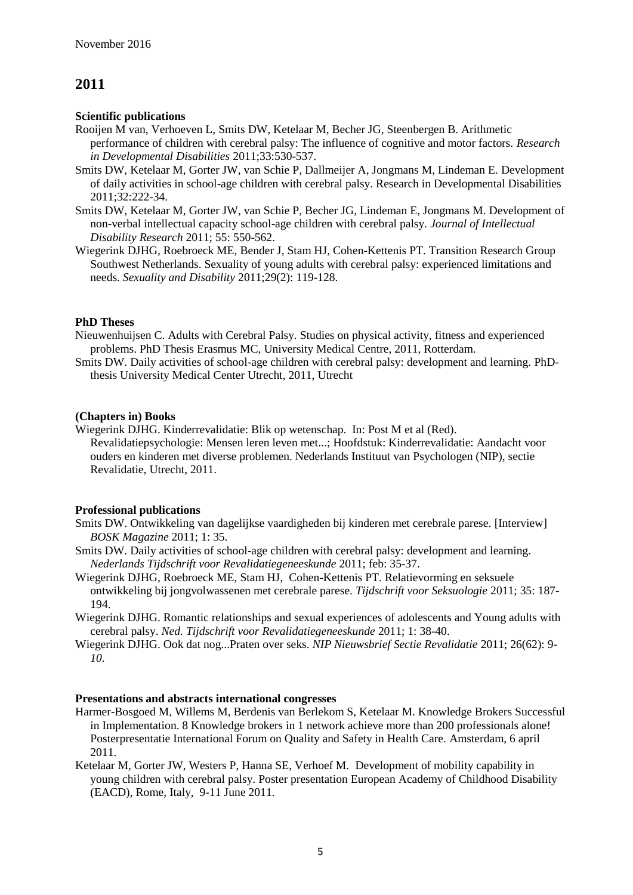#### **Scientific publications**

Rooijen M van, Verhoeven L, Smits DW, Ketelaar M, Becher JG, Steenbergen B. Arithmetic performance of children with cerebral palsy: The influence of cognitive and motor factors. *Research in Developmental Disabilities* 2011;33:530-537.

- Smits DW, Ketelaar M, Gorter JW, van Schie P, Dallmeijer A, Jongmans M, Lindeman E. Development of daily activities in school-age children with cerebral palsy. Research in Developmental Disabilities 2011;32:222-34.
- Smits DW, Ketelaar M, Gorter JW, van Schie P, Becher JG, Lindeman E, Jongmans M. Development of non-verbal intellectual capacity school-age children with cerebral palsy. *Journal of Intellectual Disability Research* 2011; 55: 550-562.
- Wiegerink DJHG, Roebroeck ME, Bender J, Stam HJ, Cohen-Kettenis PT. Transition Research Group Southwest Netherlands. Sexuality of young adults with cerebral palsy: experienced limitations and needs*. Sexuality and Disability* 2011;29(2): 119-128.

#### **PhD Theses**

Nieuwenhuijsen C. Adults with Cerebral Palsy. Studies on physical activity, fitness and experienced problems. PhD Thesis Erasmus MC, University Medical Centre, 2011, Rotterdam.

Smits DW. Daily activities of school-age children with cerebral palsy: development and learning. PhDthesis University Medical Center Utrecht, 2011, Utrecht

#### **(Chapters in) Books**

Wiegerink DJHG. Kinderrevalidatie: Blik op wetenschap. In: Post M et al (Red). Revalidatiepsychologie: Mensen leren leven met...; Hoofdstuk: Kinderrevalidatie: Aandacht voor ouders en kinderen met diverse problemen. Nederlands Instituut van Psychologen (NIP), sectie Revalidatie, Utrecht, 2011.

### **Professional publications**

- Smits DW. Ontwikkeling van dagelijkse vaardigheden bij kinderen met cerebrale parese. [Interview] *BOSK Magazine* 2011; 1: 35.
- Smits DW. Daily activities of school-age children with cerebral palsy: development and learning. *Nederlands Tijdschrift voor Revalidatiegeneeskunde* 2011; feb: 35-37.
- Wiegerink DJHG, Roebroeck ME, Stam HJ, Cohen-Kettenis PT. Relatievorming en seksuele ontwikkeling bij jongvolwassenen met cerebrale parese. *Tijdschrift voor Seksuologie* 2011; 35: 187- 194.
- Wiegerink DJHG. Romantic relationships and sexual experiences of adolescents and Young adults with cerebral palsy. *Ned. Tijdschrift voor Revalidatiegeneeskunde* 2011; 1: 38-40.
- Wiegerink DJHG. Ook dat nog...Praten over seks. *NIP Nieuwsbrief Sectie Revalidatie* 2011; 26(62): 9- *10.*

- Harmer-Bosgoed M, Willems M, Berdenis van Berlekom S, Ketelaar M. Knowledge Brokers Successful in Implementation. 8 Knowledge brokers in 1 network achieve more than 200 professionals alone! Posterpresentatie International Forum on Quality and Safety in Health Care. Amsterdam, 6 april 2011.
- Ketelaar M, Gorter JW, Westers P, Hanna SE, Verhoef M. Development of mobility capability in young children with cerebral palsy. Poster presentation European Academy of Childhood Disability (EACD), Rome, Italy, 9-11 June 2011.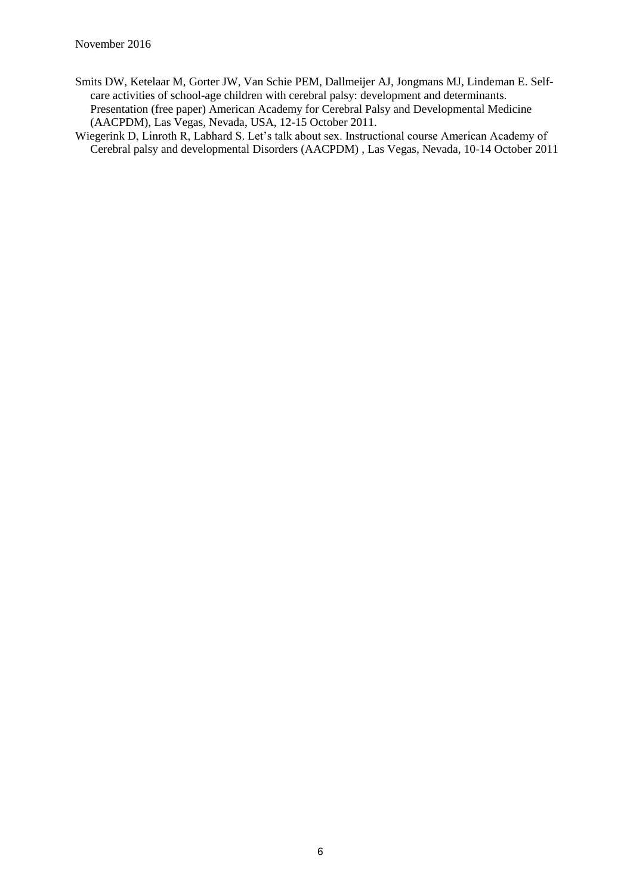- Smits DW, Ketelaar M, Gorter JW, Van Schie PEM, Dallmeijer AJ, Jongmans MJ, Lindeman E. Selfcare activities of school-age children with cerebral palsy: development and determinants. Presentation (free paper) American Academy for Cerebral Palsy and Developmental Medicine (AACPDM), Las Vegas, Nevada, USA, 12-15 October 2011.
- Wiegerink D, Linroth R, Labhard S. Let's talk about sex. Instructional course American Academy of Cerebral palsy and developmental Disorders (AACPDM) , Las Vegas, Nevada, 10-14 October 2011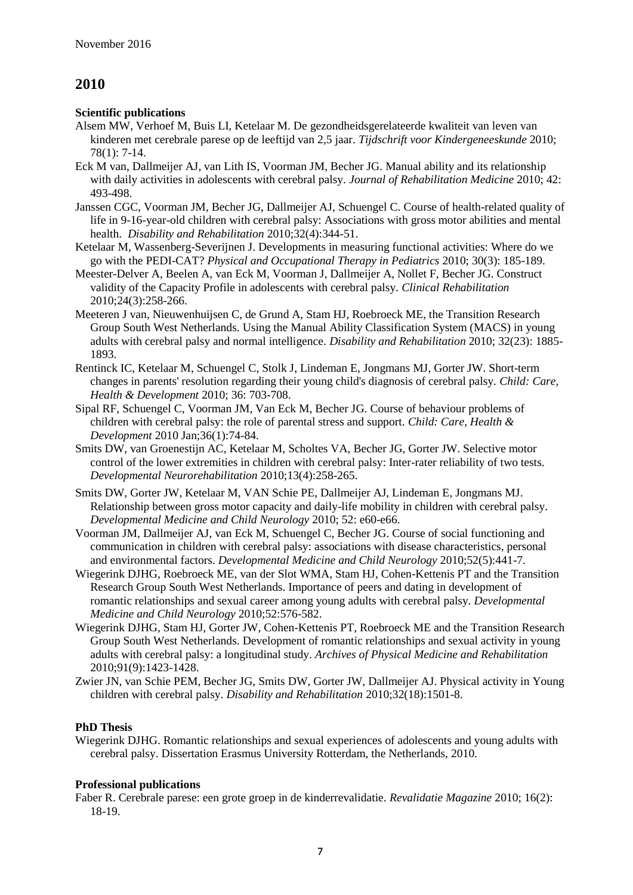### **Scientific publications**

- Alsem MW, Verhoef M, Buis LI, Ketelaar M. De gezondheidsgerelateerde kwaliteit van leven van kinderen met cerebrale parese op de leeftijd van 2,5 jaar. *Tijdschrift voor Kindergeneeskunde* 2010; 78(1): 7-14.
- Eck M van, Dallmeijer AJ, van Lith IS, Voorman JM, Becher JG. Manual ability and its relationship with daily activities in adolescents with cerebral palsy. *Journal of Rehabilitation Medicine* 2010; 42: 493-498.
- Janssen CGC, Voorman JM, Becher JG, Dallmeijer AJ, Schuengel C. Course of health-related quality of life in 9-16-year-old children with cerebral palsy: Associations with gross motor abilities and mental health. *Disability and Rehabilitation* 2010;32(4):344-51.
- Ketelaar M, Wassenberg-Severijnen J. Developments in measuring functional activities: Where do we go with the PEDI-CAT? *Physical and Occupational Therapy in Pediatrics* 2010; 30(3): 185-189.
- Meester-Delver A, Beelen A, van Eck M, Voorman J, Dallmeijer A, Nollet F, Becher JG. Construct validity of the Capacity Profile in adolescents with cerebral palsy. *Clinical Rehabilitation* 2010;24(3):258-266.
- Meeteren J van, Nieuwenhuijsen C, de Grund A, Stam HJ, Roebroeck ME, the Transition Research Group South West Netherlands. Using the Manual Ability Classification System (MACS) in young adults with cerebral palsy and normal intelligence. *Disability and Rehabilitation* 2010; 32(23): 1885- 1893.
- [Rentinck IC,](http://www.ncbi.nlm.nih.gov/pubmed?term=%22Rentinck%20IC%22%5BAuthor%5D) [Ketelaar M,](http://www.ncbi.nlm.nih.gov/pubmed?term=%22Ketelaar%20M%22%5BAuthor%5D) [Schuengel C,](http://www.ncbi.nlm.nih.gov/pubmed?term=%22Schuengel%20C%22%5BAuthor%5D) [Stolk J,](http://www.ncbi.nlm.nih.gov/pubmed?term=%22Stolk%20J%22%5BAuthor%5D) [Lindeman E,](http://www.ncbi.nlm.nih.gov/pubmed?term=%22Lindeman%20E%22%5BAuthor%5D) [Jongmans MJ,](http://www.ncbi.nlm.nih.gov/pubmed?term=%22Jongmans%20MJ%22%5BAuthor%5D) [Gorter JW.](http://www.ncbi.nlm.nih.gov/pubmed?term=%22Gorter%20JW%22%5BAuthor%5D) Short-term changes in parents' resolution regarding their young child's diagnosis of cerebral palsy. *Child: Care, Health & Development* 2010; 36: 703-708.
- Sipal RF, Schuengel C, Voorman JM, Van Eck M, Becher JG. [Course of behaviour problems of](http://www.ncbi.nlm.nih.gov.proxy.library.uu.nl/pubmed/19702640?itool=EntrezSystem2.PEntrez.Pubmed.Pubmed_ResultsPanel.Pubmed_RVDocSum&ordinalpos=2)  [children with cerebral palsy: the role of parental stress and support.](http://www.ncbi.nlm.nih.gov.proxy.library.uu.nl/pubmed/19702640?itool=EntrezSystem2.PEntrez.Pubmed.Pubmed_ResultsPanel.Pubmed_RVDocSum&ordinalpos=2) *Child: Care, Health & Development* 2010 Jan;36(1):74-84.
- Smits DW, van Groenestijn AC, Ketelaar M, Scholtes VA, Becher JG, Gorter JW. Selective motor control of the lower extremities in children with cerebral palsy: Inter-rater reliability of two tests. *Developmental Neurorehabilitation* 2010;13(4):258-265.
- Smits DW, Gorter JW, Ketelaar M, VAN Schie PE, Dallmeijer AJ, Lindeman E, Jongmans MJ. Relationship between gross motor capacity and daily-life mobility in children with cerebral palsy. *Developmental Medicine and Child Neurology* 2010; 52: e60-e66.
- Voorman JM, Dallmeijer AJ, van Eck M, Schuengel C, Becher JG. Course of social functioning and communication in children with cerebral palsy: associations with disease characteristics, personal and environmental factors. *Developmental Medicine and Child Neurology* 2010;52(5):441-7.
- Wiegerink DJHG, Roebroeck ME, van der Slot WMA, Stam HJ, Cohen-Kettenis PT and the Transition Research Group South West Netherlands. Importance of peers and dating in development of romantic relationships and sexual career among young adults with cerebral palsy. *Developmental Medicine and Child Neurology* 2010;52:576-582.
- Wiegerink DJHG, Stam HJ, Gorter JW, Cohen-Kettenis PT, Roebroeck ME and the Transition Research Group South West Netherlands. Development of romantic relationships and sexual activity in young adults with cerebral palsy: a longitudinal study. *Archives of Physical Medicine and Rehabilitation* 2010;91(9):1423-1428.
- Zwier JN, van Schie PEM, Becher JG, Smits DW, Gorter JW, Dallmeijer AJ. Physical activity in Young children with cerebral palsy. *Disability and Rehabilitation* 2010;32(18):1501-8.

# **PhD Thesis**

Wiegerink DJHG. Romantic relationships and sexual experiences of adolescents and young adults with cerebral palsy. Dissertation Erasmus University Rotterdam, the Netherlands, 2010.

# **Professional publications**

Faber R. Cerebrale parese: een grote groep in de kinderrevalidatie. *Revalidatie Magazine* 2010; 16(2): 18-19.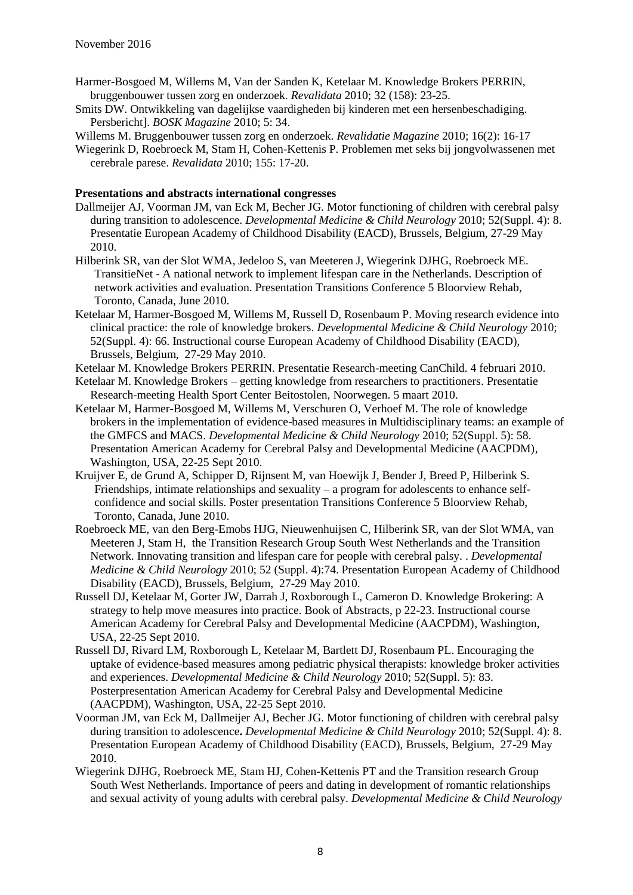- Harmer-Bosgoed M, Willems M, Van der Sanden K, Ketelaar M. Knowledge Brokers PERRIN, bruggenbouwer tussen zorg en onderzoek. *Revalidata* 2010; 32 (158): 23-25.
- Smits DW. Ontwikkeling van dagelijkse vaardigheden bij kinderen met een hersenbeschadiging. Persbericht]. *BOSK Magazine* 2010; 5: 34.
- Willems M. Bruggenbouwer tussen zorg en onderzoek. *Revalidatie Magazine* 2010; 16(2): 16-17
- Wiegerink D, Roebroeck M, Stam H, Cohen-Kettenis P. Problemen met seks bij jongvolwassenen met cerebrale parese. *Revalidata* 2010; 155: 17-20.

- Dallmeijer AJ, Voorman JM, van Eck M, Becher JG. Motor functioning of children with cerebral palsy during transition to adolescence. *Developmental Medicine & Child Neurology* 2010; 52(Suppl. 4): 8. Presentatie European Academy of Childhood Disability (EACD), Brussels, Belgium, 27-29 May 2010.
- Hilberink SR, van der Slot WMA, Jedeloo S, van Meeteren J, Wiegerink DJHG, Roebroeck ME. TransitieNet - A national network to implement lifespan care in the Netherlands. Description of network activities and evaluation. Presentation Transitions Conference 5 Bloorview Rehab, Toronto, Canada, June 2010.
- Ketelaar M, Harmer-Bosgoed M, Willems M, Russell D, Rosenbaum P. Moving research evidence into clinical practice: the role of knowledge brokers. *Developmental Medicine & Child Neurology* 2010; 52(Suppl. 4): 66. Instructional course European Academy of Childhood Disability (EACD), Brussels, Belgium, 27-29 May 2010.
- Ketelaar M. Knowledge Brokers PERRIN. Presentatie Research-meeting CanChild. 4 februari 2010.
- Ketelaar M. Knowledge Brokers getting knowledge from researchers to practitioners. Presentatie Research-meeting Health Sport Center Beitostolen, Noorwegen. 5 maart 2010.
- Ketelaar M, Harmer-Bosgoed M, Willems M, Verschuren O, Verhoef M. The role of knowledge brokers in the implementation of evidence-based measures in Multidisciplinary teams: an example of the GMFCS and MACS. *Developmental Medicine & Child Neurology* 2010; 52(Suppl. 5): 58. Presentation American Academy for Cerebral Palsy and Developmental Medicine (AACPDM), Washington, USA, 22-25 Sept 2010.
- Kruijver E, de Grund A, Schipper D, Rijnsent M, van Hoewijk J, Bender J, Breed P, Hilberink S. Friendships, intimate relationships and sexuality – a program for adolescents to enhance selfconfidence and social skills. Poster presentation Transitions Conference 5 Bloorview Rehab, Toronto, Canada, June 2010.
- Roebroeck ME, van den Berg-Emobs HJG, Nieuwenhuijsen C, Hilberink SR, van der Slot WMA, van Meeteren J, Stam H, the Transition Research Group South West Netherlands and the Transition Network. Innovating transition and lifespan care for people with cerebral palsy. . *Developmental Medicine & Child Neurology* 2010; 52 (Suppl. 4):74. Presentation European Academy of Childhood Disability (EACD), Brussels, Belgium, 27-29 May 2010.
- Russell DJ, Ketelaar M, Gorter JW, Darrah J, Roxborough L, Cameron D. Knowledge Brokering: A strategy to help move measures into practice. Book of Abstracts, p 22-23. Instructional course American Academy for Cerebral Palsy and Developmental Medicine (AACPDM), Washington, USA, 22-25 Sept 2010.
- Russell DJ, Rivard LM, Roxborough L, Ketelaar M, Bartlett DJ, Rosenbaum PL. Encouraging the uptake of evidence-based measures among pediatric physical therapists: knowledge broker activities and experiences. *Developmental Medicine & Child Neurology* 2010; 52(Suppl. 5): 83. Posterpresentation American Academy for Cerebral Palsy and Developmental Medicine (AACPDM), Washington, USA, 22-25 Sept 2010.
- Voorman JM, van Eck M, Dallmeijer AJ, Becher JG. Motor functioning of children with cerebral palsy during transition to adolescence**.** *Developmental Medicine & Child Neurology* 2010; 52(Suppl. 4): 8. Presentation European Academy of Childhood Disability (EACD), Brussels, Belgium, 27-29 May 2010.
- Wiegerink DJHG, Roebroeck ME, Stam HJ, Cohen-Kettenis PT and the Transition research Group South West Netherlands. Importance of peers and dating in development of romantic relationships and sexual activity of young adults with cerebral palsy. *Developmental Medicine & Child Neurology*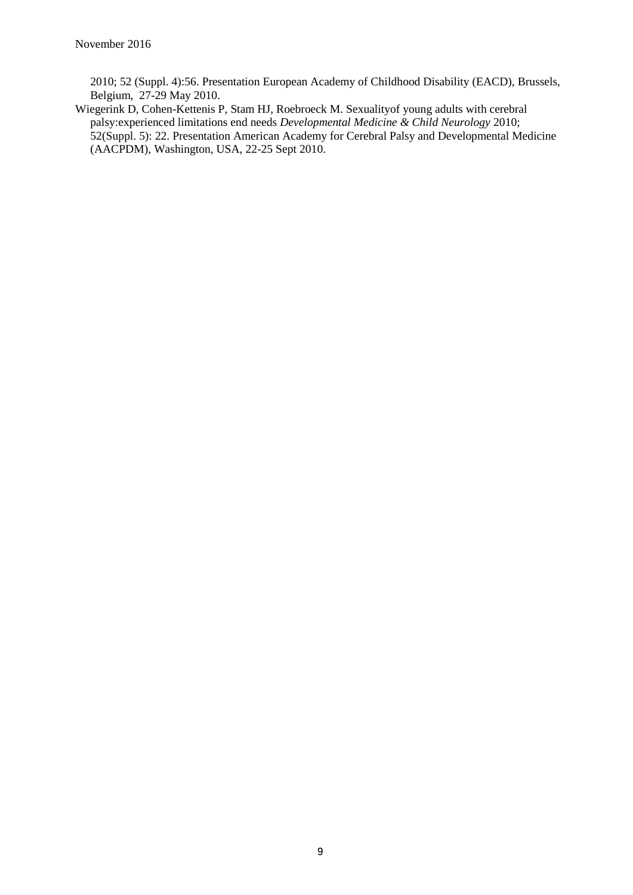2010; 52 (Suppl. 4):56. Presentation European Academy of Childhood Disability (EACD), Brussels, Belgium, 27-29 May 2010.

Wiegerink D, Cohen-Kettenis P, Stam HJ, Roebroeck M. Sexualityof young adults with cerebral palsy:experienced limitations end needs *Developmental Medicine & Child Neurology* 2010; 52(Suppl. 5): 22. Presentation American Academy for Cerebral Palsy and Developmental Medicine (AACPDM), Washington, USA, 22-25 Sept 2010.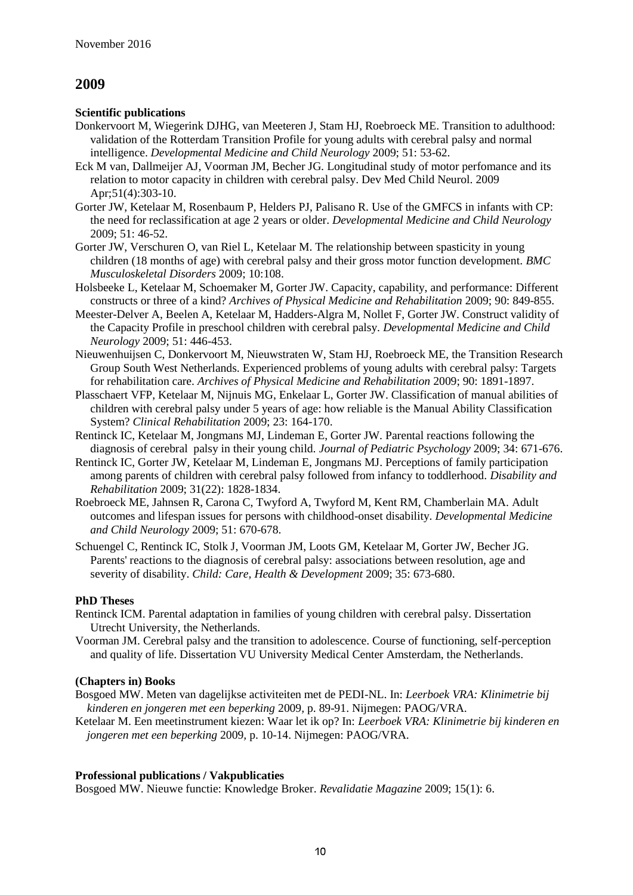#### **Scientific publications**

- Donkervoort M, Wiegerink DJHG, van Meeteren J, Stam HJ, Roebroeck ME. Transition to adulthood: validation of the Rotterdam Transition Profile for young adults with cerebral palsy and normal intelligence. *Developmental Medicine and Child Neurology* 2009; 51: 53-62.
- Eck M van, Dallmeijer AJ, Voorman JM, Becher JG. Longitudinal study of motor perfomance and its relation to motor capacity in children with cerebral palsy. Dev Med Child Neurol. 2009 Apr:51(4):303-10.
- Gorter JW, Ketelaar M, Rosenbaum P, Helders PJ, Palisano R. Use of the GMFCS in infants with CP: the need for reclassification at age 2 years or older. *Developmental Medicine and Child Neurology* 2009; 51: 46-52.
- Gorter JW, Verschuren O, van Riel L, Ketelaar M. The relationship between spasticity in young children (18 months of age) with cerebral palsy and their gross motor function development. *BMC Musculoskeletal Disorders* 2009; 10:108.
- Holsbeeke L, Ketelaar M, Schoemaker M, Gorter JW. Capacity, capability, and performance: Different constructs or three of a kind? *Archives of Physical Medicine and Rehabilitation* 2009; 90: 849-855.
- Meester-Delver A, Beelen A, Ketelaar M, Hadders-Algra M, Nollet F, Gorter JW. Construct validity of the Capacity Profile in preschool children with cerebral palsy. *Developmental Medicine and Child Neurology* 2009; 51: 446-453.
- Nieuwenhuijsen C, Donkervoort M, Nieuwstraten W, Stam HJ, Roebroeck ME, the Transition Research Group South West Netherlands. Experienced problems of young adults with cerebral palsy: Targets for rehabilitation care. *Archives of Physical Medicine and Rehabilitation* 2009; 90: 1891-1897.
- Plasschaert VFP, Ketelaar M, Nijnuis MG, Enkelaar L, Gorter JW. Classification of manual abilities of children with cerebral palsy under 5 years of age: how reliable is the Manual Ability Classification System? *Clinical Rehabilitation* 2009; 23: 164-170.
- Rentinck IC, Ketelaar M, Jongmans MJ, Lindeman E, Gorter JW. Parental reactions following the diagnosis of cerebral palsy in their young child. *Journal of Pediatric Psychology* 2009; 34: 671-676.
- [Rentinck IC,](http://www.ncbi.nlm.nih.gov.proxy.library.uu.nl/sites/entrez?Db=pubmed&Cmd=Search&Term=%22Rentinck%20IC%22%5BAuthor%5D&itool=EntrezSystem2.PEntrez.Pubmed.Pubmed_ResultsPanel.Pubmed_RVAbstract) [Gorter JW,](http://www.ncbi.nlm.nih.gov.proxy.library.uu.nl/sites/entrez?Db=pubmed&Cmd=Search&Term=%22Gorter%20JW%22%5BAuthor%5D&itool=EntrezSystem2.PEntrez.Pubmed.Pubmed_ResultsPanel.Pubmed_RVAbstract) [Ketelaar M,](http://www.ncbi.nlm.nih.gov.proxy.library.uu.nl/sites/entrez?Db=pubmed&Cmd=Search&Term=%22Ketelaar%20M%22%5BAuthor%5D&itool=EntrezSystem2.PEntrez.Pubmed.Pubmed_ResultsPanel.Pubmed_RVAbstract) [Lindeman E,](http://www.ncbi.nlm.nih.gov.proxy.library.uu.nl/sites/entrez?Db=pubmed&Cmd=Search&Term=%22Lindeman%20E%22%5BAuthor%5D&itool=EntrezSystem2.PEntrez.Pubmed.Pubmed_ResultsPanel.Pubmed_RVAbstract) [Jongmans MJ.](http://www.ncbi.nlm.nih.gov.proxy.library.uu.nl/sites/entrez?Db=pubmed&Cmd=Search&Term=%22Jongmans%20MJ%22%5BAuthor%5D&itool=EntrezSystem2.PEntrez.Pubmed.Pubmed_ResultsPanel.Pubmed_RVAbstract) Perceptions of family participation among parents of children with cerebral palsy followed from infancy to toddlerhood. *Disability and Rehabilitation* 2009; 31(22): 1828-1834.
- Roebroeck ME, Jahnsen R, Carona C, Twyford A, Twyford M, Kent RM, Chamberlain MA. Adult outcomes and lifespan issues for persons with childhood-onset disability. *Developmental Medicine and Child Neurology* 2009; 51: 670-678.
- Schuengel C, Rentinck IC, Stolk J, Voorman JM, Loots GM, Ketelaar M, Gorter JW, Becher JG. Parents' reactions to the diagnosis of cerebral palsy: associations between resolution, age and severity of disability. *Child: Care, Health & Development* 2009; 35: 673-680.

### **PhD Theses**

- Rentinck ICM. Parental adaptation in families of young children with cerebral palsy. Dissertation Utrecht University, the Netherlands.
- Voorman JM. Cerebral palsy and the transition to adolescence. Course of functioning, self-perception and quality of life. Dissertation VU University Medical Center Amsterdam, the Netherlands.

### **(Chapters in) Books**

- Bosgoed MW. Meten van dagelijkse activiteiten met de PEDI-NL. In: *Leerboek VRA: Klinimetrie bij kinderen en jongeren met een beperking* 2009*,* p. 89-91. Nijmegen: PAOG/VRA.
- Ketelaar M. Een meetinstrument kiezen: Waar let ik op? In: *Leerboek VRA: Klinimetrie bij kinderen en jongeren met een beperking* 2009*,* p. 10-14. Nijmegen: PAOG/VRA.

### **Professional publications / Vakpublicaties**

Bosgoed MW. Nieuwe functie: Knowledge Broker. *Revalidatie Magazine* 2009; 15(1): 6.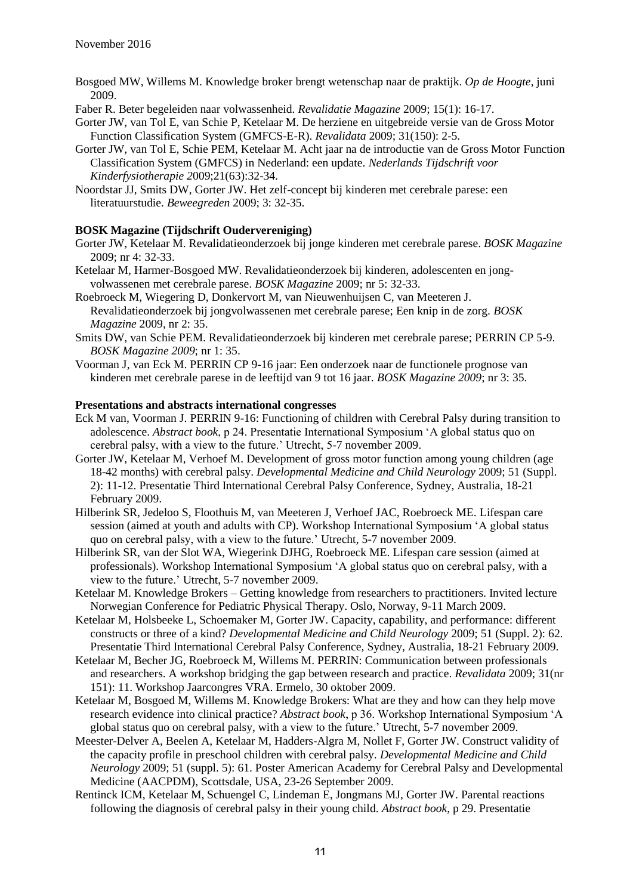Bosgoed MW, Willems M. Knowledge broker brengt wetenschap naar de praktijk. *Op de Hoogte*, juni 2009.

Faber R. Beter begeleiden naar volwassenheid. *Revalidatie Magazine* 2009; 15(1): 16-17.

- Gorter JW, van Tol E, van Schie P, Ketelaar M. De herziene en uitgebreide versie van de Gross Motor Function Classification System (GMFCS-E-R). *Revalidata* 2009; 31(150): 2-5.
- Gorter JW, van Tol E, Schie PEM, Ketelaar M. Acht jaar na de introductie van de Gross Motor Function Classification System (GMFCS) in Nederland: een update. *Nederlands Tijdschrift voor Kinderfysiotherapie 2*009;21(63):32-34.
- Noordstar JJ, Smits DW, Gorter JW. Het zelf-concept bij kinderen met cerebrale parese: een literatuurstudie. *Beweegreden* 2009; 3: 32-35.

### **BOSK Magazine (Tijdschrift Oudervereniging)**

- Gorter JW, Ketelaar M. Revalidatieonderzoek bij jonge kinderen met cerebrale parese. *BOSK Magazine* 2009; nr 4: 32-33.
- Ketelaar M, Harmer-Bosgoed MW. Revalidatieonderzoek bij kinderen, adolescenten en jongvolwassenen met cerebrale parese. *BOSK Magazine* 2009; nr 5: 32-33.
- Roebroeck M, Wiegering D, Donkervort M, van Nieuwenhuijsen C, van Meeteren J. Revalidatieonderzoek bij jongvolwassenen met cerebrale parese; Een knip in de zorg. *BOSK Magazine* 2009, nr 2: 35.
- Smits DW, van Schie PEM. Revalidatieonderzoek bij kinderen met cerebrale parese; PERRIN CP 5-9. *BOSK Magazine 2009*; nr 1: 35.
- Voorman J, van Eck M. PERRIN CP 9-16 jaar: Een onderzoek naar de functionele prognose van kinderen met cerebrale parese in de leeftijd van 9 tot 16 jaar. *BOSK Magazine 2009*; nr 3: 35.

- Eck M van, Voorman J. PERRIN 9-16: Functioning of children with Cerebral Palsy during transition to adolescence. *Abstract book*, p 24. Presentatie International Symposium 'A global status quo on cerebral palsy, with a view to the future.' Utrecht, 5-7 november 2009.
- Gorter JW, Ketelaar M, Verhoef M. Development of gross motor function among young children (age 18-42 months) with cerebral palsy. *Developmental Medicine and Child Neurology* 2009; 51 (Suppl. 2): 11-12. Presentatie Third International Cerebral Palsy Conference, Sydney, Australia, 18-21 February 2009.
- Hilberink SR, Jedeloo S, Floothuis M, van Meeteren J, Verhoef JAC, Roebroeck ME. Lifespan care session (aimed at youth and adults with CP). Workshop International Symposium 'A global status quo on cerebral palsy, with a view to the future.' Utrecht, 5-7 november 2009.
- Hilberink SR, van der Slot WA, Wiegerink DJHG, Roebroeck ME. Lifespan care session (aimed at professionals). Workshop International Symposium 'A global status quo on cerebral palsy, with a view to the future.' Utrecht, 5-7 november 2009.
- Ketelaar M. Knowledge Brokers Getting knowledge from researchers to practitioners. Invited lecture Norwegian Conference for Pediatric Physical Therapy. Oslo, Norway, 9-11 March 2009.
- Ketelaar M, Holsbeeke L, Schoemaker M, Gorter JW. Capacity, capability, and performance: different constructs or three of a kind? *Developmental Medicine and Child Neurology* 2009; 51 (Suppl. 2): 62. Presentatie Third International Cerebral Palsy Conference, Sydney, Australia, 18-21 February 2009.
- Ketelaar M, Becher JG, Roebroeck M, Willems M. PERRIN: Communication between professionals and researchers. A workshop bridging the gap between research and practice. *Revalidata* 2009; 31(nr 151): 11. Workshop Jaarcongres VRA. Ermelo, 30 oktober 2009.
- Ketelaar M, Bosgoed M, Willems M. Knowledge Brokers: What are they and how can they help move research evidence into clinical practice? *Abstract book*, p 36. Workshop International Symposium 'A global status quo on cerebral palsy, with a view to the future.' Utrecht, 5-7 november 2009.
- Meester-Delver A, Beelen A, Ketelaar M, Hadders-Algra M, Nollet F, Gorter JW. Construct validity of the capacity profile in preschool children with cerebral palsy. *Developmental Medicine and Child Neurology* 2009; 51 (suppl. 5): 61. Poster American Academy for Cerebral Palsy and Developmental Medicine (AACPDM), Scottsdale, USA, 23-26 September 2009.
- Rentinck ICM, Ketelaar M, Schuengel C, Lindeman E, Jongmans MJ, Gorter JW. Parental reactions following the diagnosis of cerebral palsy in their young child. *Abstract book*, p 29. Presentatie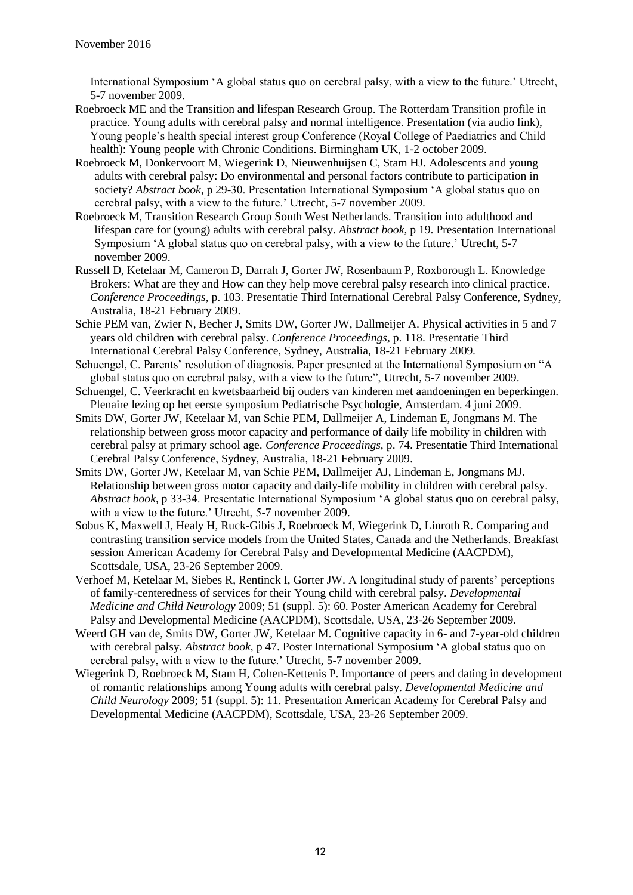International Symposium 'A global status quo on cerebral palsy, with a view to the future.' Utrecht, 5-7 november 2009.

- Roebroeck ME and the Transition and lifespan Research Group. The Rotterdam Transition profile in practice. Young adults with cerebral palsy and normal intelligence. Presentation (via audio link), Young people's health special interest group Conference (Royal College of Paediatrics and Child health): Young people with Chronic Conditions. Birmingham UK, 1-2 october 2009.
- Roebroeck M, Donkervoort M, Wiegerink D, Nieuwenhuijsen C, Stam HJ. Adolescents and young adults with cerebral palsy: Do environmental and personal factors contribute to participation in society? *Abstract book*, p 29-30. Presentation International Symposium 'A global status quo on cerebral palsy, with a view to the future.' Utrecht, 5-7 november 2009.
- Roebroeck M, Transition Research Group South West Netherlands. Transition into adulthood and lifespan care for (young) adults with cerebral palsy. *Abstract book*, p 19. Presentation International Symposium 'A global status quo on cerebral palsy, with a view to the future.' Utrecht, 5-7 november 2009.
- Russell D, Ketelaar M, Cameron D, Darrah J, Gorter JW, Rosenbaum P, Roxborough L. Knowledge Brokers: What are they and How can they help move cerebral palsy research into clinical practice. *Conference Proceedings,* p. 103. Presentatie Third International Cerebral Palsy Conference, Sydney, Australia, 18-21 February 2009.
- Schie PEM van, Zwier N, Becher J, Smits DW, Gorter JW, Dallmeijer A. Physical activities in 5 and 7 years old children with cerebral palsy. *Conference Proceedings,* p. 118. Presentatie Third International Cerebral Palsy Conference, Sydney, Australia, 18-21 February 2009.
- Schuengel, C. Parents' resolution of diagnosis. Paper presented at the International Symposium on "A global status quo on cerebral palsy, with a view to the future", Utrecht, 5-7 november 2009.
- Schuengel, C. Veerkracht en kwetsbaarheid bij ouders van kinderen met aandoeningen en beperkingen. Plenaire lezing op het eerste symposium Pediatrische Psychologie, Amsterdam. 4 juni 2009.
- Smits DW, Gorter JW, Ketelaar M, van Schie PEM, Dallmeijer A, Lindeman E, Jongmans M. The relationship between gross motor capacity and performance of daily life mobility in children with cerebral palsy at primary school age. *Conference Proceedings,* p. 74. Presentatie Third International Cerebral Palsy Conference, Sydney, Australia, 18-21 February 2009.
- Smits DW, Gorter JW, Ketelaar M, van Schie PEM, Dallmeijer AJ, Lindeman E, Jongmans MJ. Relationship between gross motor capacity and daily-life mobility in children with cerebral palsy. *Abstract book*, p 33-34. Presentatie International Symposium 'A global status quo on cerebral palsy, with a view to the future.' Utrecht, 5-7 november 2009.
- Sobus K, Maxwell J, Healy H, Ruck-Gibis J, Roebroeck M, Wiegerink D, Linroth R. Comparing and contrasting transition service models from the United States, Canada and the Netherlands. Breakfast session American Academy for Cerebral Palsy and Developmental Medicine (AACPDM), Scottsdale, USA, 23-26 September 2009.
- Verhoef M, Ketelaar M, Siebes R, Rentinck I, Gorter JW. A longitudinal study of parents' perceptions of family-centeredness of services for their Young child with cerebral palsy. *Developmental Medicine and Child Neurology* 2009; 51 (suppl. 5): 60. Poster American Academy for Cerebral Palsy and Developmental Medicine (AACPDM), Scottsdale, USA, 23-26 September 2009.
- Weerd GH van de, Smits DW, Gorter JW, Ketelaar M. Cognitive capacity in 6- and 7-year-old children with cerebral palsy. *Abstract book*, p 47. Poster International Symposium 'A global status quo on cerebral palsy, with a view to the future.' Utrecht, 5-7 november 2009.
- Wiegerink D, Roebroeck M, Stam H, Cohen-Kettenis P. Importance of peers and dating in development of romantic relationships among Young adults with cerebral palsy. *Developmental Medicine and Child Neurology* 2009; 51 (suppl. 5): 11. Presentation American Academy for Cerebral Palsy and Developmental Medicine (AACPDM), Scottsdale, USA, 23-26 September 2009.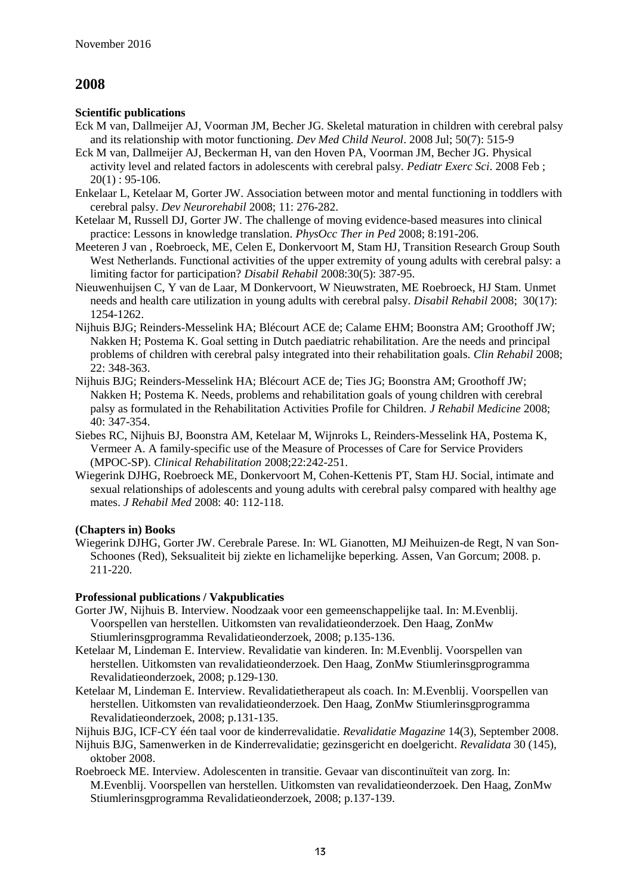#### **Scientific publications**

- Eck M van, Dallmeijer AJ, Voorman JM, Becher JG. Skeletal maturation in children with cerebral palsy and its relationship with motor functioning. *Dev Med Child Neurol*. 2008 Jul; 50(7): 515-9
- Eck M van, Dallmeijer AJ, Beckerman H, van den Hoven PA, Voorman JM, Becher JG. Physical activity level and related factors in adolescents with cerebral palsy. *Pediatr Exerc Sci*. 2008 Feb ;  $20(1) : 95-106.$
- Enkelaar L, Ketelaar M, Gorter JW. Association between motor and mental functioning in toddlers with cerebral palsy. *Dev Neurorehabil* 2008; 11: 276-282.
- Ketelaar M, Russell DJ, Gorter JW. The challenge of moving evidence-based measures into clinical practice: Lessons in knowledge translation. *PhysOcc Ther in Ped* 2008; 8:191-206.
- Meeteren J van , Roebroeck, ME, Celen E, Donkervoort M, Stam HJ, Transition Research Group South West Netherlands. Functional activities of the upper extremity of young adults with cerebral palsy: a limiting factor for participation? *Disabil Rehabil* 2008:30(5): 387-95.
- Nieuwenhuijsen C, Y van de Laar, M Donkervoort, W Nieuwstraten, ME Roebroeck, HJ Stam. Unmet needs and health care utilization in young adults with cerebral palsy. *Disabil Rehabil* 2008; 30(17): 1254-1262.
- Nijhuis BJG; Reinders-Messelink HA; Blécourt ACE de; Calame EHM; Boonstra AM; Groothoff JW; Nakken H; Postema K. Goal setting in Dutch paediatric rehabilitation. Are the needs and principal problems of children with cerebral palsy integrated into their rehabilitation goals. *Clin Rehabil* 2008; 22: 348-363.
- Nijhuis BJG; Reinders-Messelink HA; Blécourt ACE de; Ties JG; Boonstra AM; Groothoff JW; Nakken H; Postema K. Needs, problems and rehabilitation goals of young children with cerebral palsy as formulated in the Rehabilitation Activities Profile for Children. *J Rehabil Medicine* 2008; 40: 347-354.
- Siebes RC, Nijhuis BJ, Boonstra AM, Ketelaar M, Wijnroks L, Reinders-Messelink HA, Postema K, Vermeer A. A family-specific use of the Measure of Processes of Care for Service Providers (MPOC-SP). *Clinical Rehabilitation* 2008;22:242-251.
- Wiegerink DJHG, Roebroeck ME, Donkervoort M, Cohen-Kettenis PT, Stam HJ. Social, intimate and sexual relationships of adolescents and young adults with cerebral palsy compared with healthy age mates. *J Rehabil Med* 2008: 40: 112-118.

### **(Chapters in) Books**

Wiegerink DJHG, Gorter JW. Cerebrale Parese. In: WL Gianotten, MJ Meihuizen-de Regt, N van Son-Schoones (Red), Seksualiteit bij ziekte en lichamelijke beperking. Assen, Van Gorcum; 2008. p. 211-220.

### **Professional publications / Vakpublicaties**

- Gorter JW, Nijhuis B. Interview. Noodzaak voor een gemeenschappelijke taal. In: M.Evenblij. Voorspellen van herstellen. Uitkomsten van revalidatieonderzoek. Den Haag, ZonMw Stiumlerinsgprogramma Revalidatieonderzoek, 2008; p.135-136.
- Ketelaar M, Lindeman E. Interview. Revalidatie van kinderen. In: M.Evenblij. Voorspellen van herstellen. Uitkomsten van revalidatieonderzoek. Den Haag, ZonMw Stiumlerinsgprogramma Revalidatieonderzoek, 2008; p.129-130.
- Ketelaar M, Lindeman E. Interview. Revalidatietherapeut als coach. In: M.Evenblij. Voorspellen van herstellen. Uitkomsten van revalidatieonderzoek. Den Haag, ZonMw Stiumlerinsgprogramma Revalidatieonderzoek, 2008; p.131-135.

Nijhuis BJG, ICF-CY één taal voor de kinderrevalidatie. *Revalidatie Magazine* 14(3), September 2008.

- Nijhuis BJG, Samenwerken in de Kinderrevalidatie; gezinsgericht en doelgericht. *Revalidata* 30 (145), oktober 2008.
- Roebroeck ME. Interview. Adolescenten in transitie. Gevaar van discontinuïteit van zorg. In: M.Evenblij. Voorspellen van herstellen. Uitkomsten van revalidatieonderzoek. Den Haag, ZonMw Stiumlerinsgprogramma Revalidatieonderzoek, 2008; p.137-139.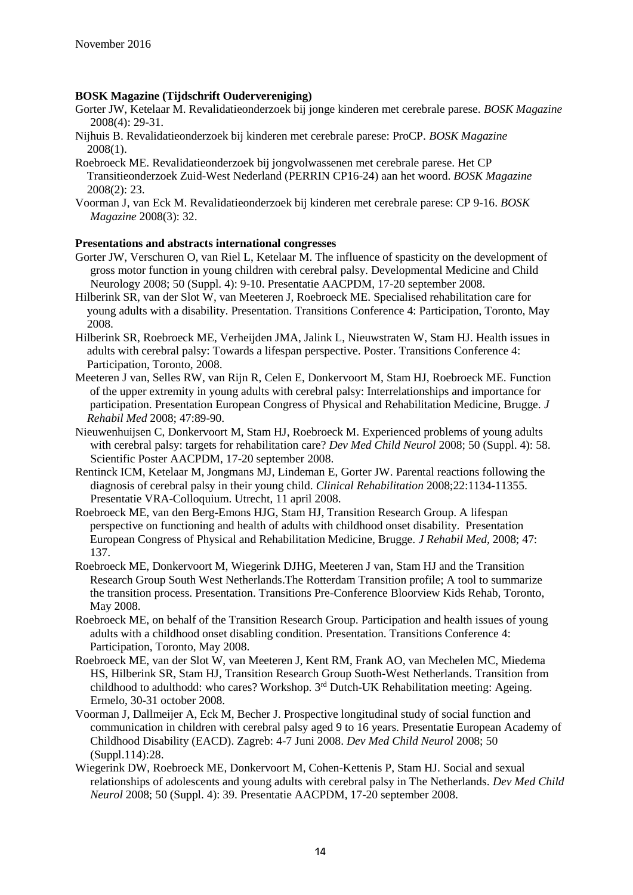#### **BOSK Magazine (Tijdschrift Oudervereniging)**

- Gorter JW, Ketelaar M. Revalidatieonderzoek bij jonge kinderen met cerebrale parese. *BOSK Magazine* 2008(4): 29-31.
- Nijhuis B. Revalidatieonderzoek bij kinderen met cerebrale parese: ProCP. *BOSK Magazine* 2008(1).
- Roebroeck ME. Revalidatieonderzoek bij jongvolwassenen met cerebrale parese. Het CP Transitieonderzoek Zuid-West Nederland (PERRIN CP16-24) aan het woord. *BOSK Magazine* 2008(2): 23.
- Voorman J, van Eck M. Revalidatieonderzoek bij kinderen met cerebrale parese: CP 9-16. *BOSK Magazine* 2008(3): 32.

- Gorter JW, Verschuren O, van Riel L, Ketelaar M. The influence of spasticity on the development of gross motor function in young children with cerebral palsy. Developmental Medicine and Child Neurology 2008; 50 (Suppl. 4): 9-10. Presentatie AACPDM, 17-20 september 2008.
- Hilberink SR, van der Slot W, van Meeteren J, Roebroeck ME. Specialised rehabilitation care for young adults with a disability. Presentation. Transitions Conference 4: Participation, Toronto, May 2008.
- Hilberink SR, Roebroeck ME, Verheijden JMA, Jalink L, Nieuwstraten W, Stam HJ. Health issues in adults with cerebral palsy: Towards a lifespan perspective. Poster. Transitions Conference 4: Participation, Toronto, 2008.
- Meeteren J van, Selles RW, van Rijn R, Celen E, Donkervoort M, Stam HJ, Roebroeck ME. Function of the upper extremity in young adults with cerebral palsy: Interrelationships and importance for participation. Presentation European Congress of Physical and Rehabilitation Medicine, Brugge. *J Rehabil Med* 2008; 47:89-90.
- Nieuwenhuijsen C, Donkervoort M, Stam HJ, Roebroeck M. Experienced problems of young adults with cerebral palsy: targets for rehabilitation care? *Dev Med Child Neurol* 2008; 50 (Suppl. 4): 58. Scientific Poster AACPDM, 17-20 september 2008.
- Rentinck ICM, Ketelaar M, Jongmans MJ, Lindeman E, Gorter JW. Parental reactions following the diagnosis of cerebral palsy in their young child. *Clinical Rehabilitation* 2008;22:1134-11355. Presentatie VRA-Colloquium. Utrecht, 11 april 2008.
- Roebroeck ME, van den Berg-Emons HJG, Stam HJ, Transition Research Group. A lifespan perspective on functioning and health of adults with childhood onset disability. Presentation European Congress of Physical and Rehabilitation Medicine, Brugge. *J Rehabil Med,* 2008; 47: 137.
- Roebroeck ME, Donkervoort M, Wiegerink DJHG, Meeteren J van, Stam HJ and the Transition Research Group South West Netherlands.The Rotterdam Transition profile; A tool to summarize the transition process. Presentation. Transitions Pre-Conference Bloorview Kids Rehab, Toronto, May 2008.
- Roebroeck ME, on behalf of the Transition Research Group. Participation and health issues of young adults with a childhood onset disabling condition. Presentation. Transitions Conference 4: Participation, Toronto, May 2008.
- Roebroeck ME, van der Slot W, van Meeteren J, Kent RM, Frank AO, van Mechelen MC, Miedema HS, Hilberink SR, Stam HJ, Transition Research Group Suoth-West Netherlands. Transition from childhood to adulthodd: who cares? Workshop. 3<sup>rd</sup> Dutch-UK Rehabilitation meeting: Ageing. Ermelo, 30-31 october 2008.
- Voorman J, Dallmeijer A, Eck M, Becher J. Prospective longitudinal study of social function and communication in children with cerebral palsy aged 9 to 16 years. Presentatie European Academy of Childhood Disability (EACD). Zagreb: 4-7 Juni 2008. *Dev Med Child Neurol* 2008; 50 (Suppl.114):28.
- Wiegerink DW, Roebroeck ME, Donkervoort M, Cohen-Kettenis P, Stam HJ. Social and sexual relationships of adolescents and young adults with cerebral palsy in The Netherlands. *Dev Med Child Neurol* 2008; 50 (Suppl. 4): 39. Presentatie AACPDM, 17-20 september 2008.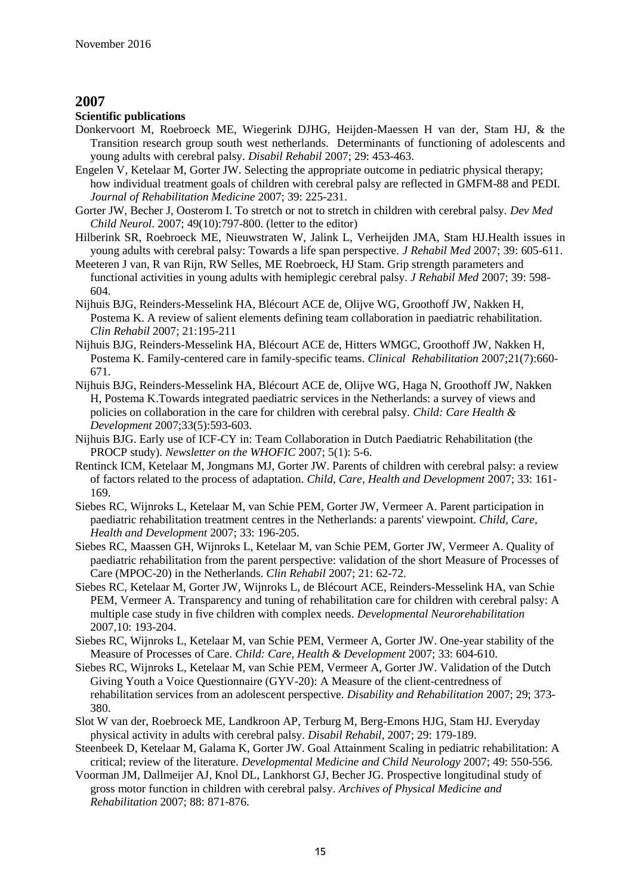#### **Scientific publications**

- Donkervoort M, Roebroeck ME, Wiegerink DJHG, Heijden-Maessen H van der, Stam HJ, & the Transition research group south west netherlands. Determinants of functioning of adolescents and young adults with cerebral palsy. *Disabil Rehabil* 2007; 29: 453-463.
- Engelen V, Ketelaar M, Gorter JW. Selecting the appropriate outcome in pediatric physical therapy; how individual treatment goals of children with cerebral palsy are reflected in GMFM-88 and PEDI. *Journal of Rehabilitation Medicine* 2007; 39: 225-231.
- Gorter JW, Becher J, Oosterom I. To stretch or not to stretch in children with cerebral palsy. *Dev Med Child Neurol*. 2007; 49(10):797-800. (letter to the editor)
- Hilberink SR, Roebroeck ME, Nieuwstraten W, Jalink L, Verheijden JMA, Stam HJ.Health issues in young adults with cerebral palsy: Towards a life span perspective. *J Rehabil Med* 2007; 39: 605-611.
- Meeteren J van, R van Rijn, RW Selles, ME Roebroeck, HJ Stam. Grip strength parameters and functional activities in young adults with hemiplegic cerebral palsy. *J Rehabil Med* 2007; 39: 598- 604.
- Nijhuis BJG, Reinders-Messelink HA, Blécourt ACE de, Olijve WG, Groothoff JW, Nakken H, Postema K. A review of salient elements defining team collaboration in paediatric rehabilitation. *Clin Rehabil* 2007; 21:195-211
- Nijhuis BJG, Reinders-Messelink HA, Blécourt ACE de, Hitters WMGC, Groothoff JW, Nakken H, Postema K. Family-centered care in family-specific teams. *Clinical Rehabilitation* 2007;21(7):660- 671.
- Nijhuis BJG, Reinders-Messelink HA, Blécourt ACE de, Olijve WG, Haga N, Groothoff JW, Nakken H, Postema K.Towards integrated paediatric services in the Netherlands: a survey of views and policies on collaboration in the care for children with cerebral palsy. *Child: Care Health & Development* 2007;33(5):593-603.
- Nijhuis BJG. Early use of ICF-CY in: Team Collaboration in Dutch Paediatric Rehabilitation (the PROCP study). *Newsletter on the WHOFIC* 2007; 5(1): 5-6.
- Rentinck ICM, Ketelaar M, Jongmans MJ, Gorter JW. Parents of children with cerebral palsy: a review of factors related to the process of adaptation. *Child, Care, Health and Development* 2007; 33: 161- 169.
- Siebes RC, Wijnroks L, Ketelaar M, van Schie PEM, Gorter JW, Vermeer A. Parent participation in paediatric rehabilitation treatment centres in the Netherlands: a parents' viewpoint. *Child, Care, Health and Development* 2007; 33: 196-205.
- Siebes RC, Maassen GH, Wijnroks L, Ketelaar M, van Schie PEM, Gorter JW, Vermeer A. Quality of paediatric rehabilitation from the parent perspective: validation of the short Measure of Processes of Care (MPOC-20) in the Netherlands. *Clin Rehabil* 2007; 21: 62-72.
- Siebes RC, Ketelaar M, Gorter JW, Wijnroks L, de Blécourt ACE, Reinders-Messelink HA, van Schie PEM, Vermeer A. Transparency and tuning of rehabilitation care for children with cerebral palsy: A multiple case study in five children with complex needs. *Developmental Neurorehabilitation*  2007,10: 193-204.
- Siebes RC, Wijnroks L, Ketelaar M, van Schie PEM, Vermeer A, Gorter JW. One-year stability of the Measure of Processes of Care. *Child: Care, Health & Development* 2007; 33: 604-610.
- Siebes RC, Wijnroks L, Ketelaar M, van Schie PEM, Vermeer A, Gorter JW. Validation of the Dutch Giving Youth a Voice Questionnaire (GYV-20): A Measure of the client-centredness of rehabilitation services from an adolescent perspective. *Disability and Rehabilitation* 2007; 29; 373- 380.
- Slot W van der, Roebroeck ME, Landkroon AP, Terburg M, Berg-Emons HJG, Stam HJ. Everyday physical activity in adults with cerebral palsy. *Disabil Rehabil*, 2007; 29: 179-189.
- Steenbeek D, Ketelaar M, Galama K, Gorter JW. Goal Attainment Scaling in pediatric rehabilitation: A critical; review of the literature. *Developmental Medicine and Child Neurology* 2007; 49: 550-556.
- Voorman JM, Dallmeijer AJ, Knol DL, Lankhorst GJ, Becher JG. Prospective longitudinal study of gross motor function in children with cerebral palsy. *Archives of Physical Medicine and Rehabilitation* 2007; 88: 871-876.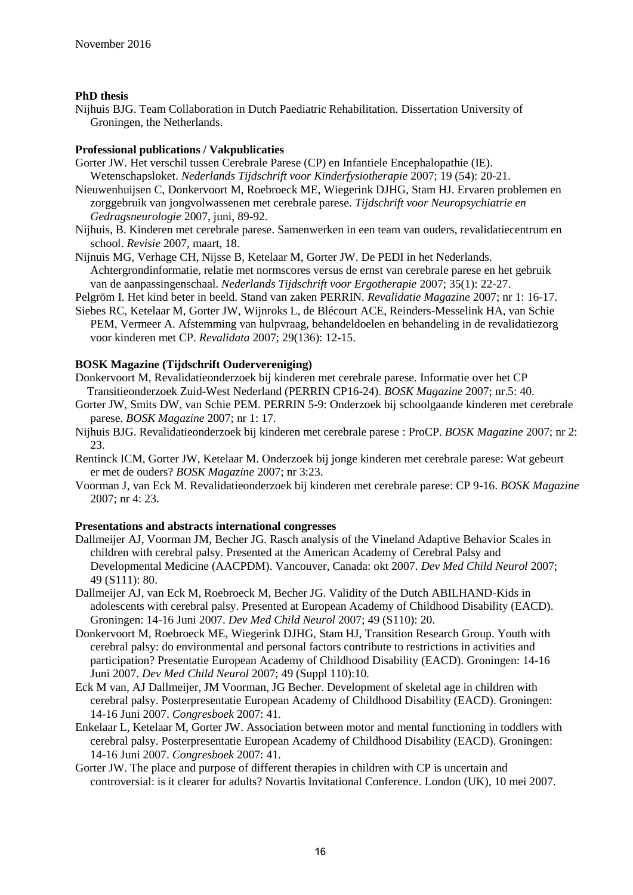#### **PhD thesis**

Nijhuis BJG. Team Collaboration in Dutch Paediatric Rehabilitation. Dissertation University of Groningen, the Netherlands.

#### **Professional publications / Vakpublicaties**

- Gorter JW. Het verschil tussen Cerebrale Parese (CP) en Infantiele Encephalopathie (IE). Wetenschapsloket. *Nederlands Tijdschrift voor Kinderfysiotherapie* 2007; 19 (54): 20-21.
- Nieuwenhuijsen C, Donkervoort M, Roebroeck ME, Wiegerink DJHG, Stam HJ. Ervaren problemen en zorggebruik van jongvolwassenen met cerebrale parese. *Tijdschrift voor Neuropsychiatrie en Gedragsneurologie* 2007, juni, 89-92.
- Nijhuis, B. Kinderen met cerebrale parese. Samenwerken in een team van ouders, revalidatiecentrum en school. *Revisie* 2007, maart, 18.
- Nijnuis MG, Verhage CH, Nijsse B, Ketelaar M, Gorter JW. De PEDI in het Nederlands. Achtergrondinformatie, relatie met normscores versus de ernst van cerebrale parese en het gebruik van de aanpassingenschaal. *Nederlands Tijdschrift voor Ergotherapie* 2007; 35(1): 22-27.
- Pelgröm I. Het kind beter in beeld. Stand van zaken PERRIN. *Revalidatie Magazine* 2007; nr 1: 16-17.
- Siebes RC, Ketelaar M, Gorter JW, Wijnroks L, de Blécourt ACE, Reinders-Messelink HA, van Schie PEM, Vermeer A. Afstemming van hulpvraag, behandeldoelen en behandeling in de revalidatiezorg voor kinderen met CP. *Revalidata* 2007; 29(136): 12-15.

#### **BOSK Magazine (Tijdschrift Oudervereniging)**

- Donkervoort M, Revalidatieonderzoek bij kinderen met cerebrale parese. Informatie over het CP Transitieonderzoek Zuid-West Nederland (PERRIN CP16-24). *BOSK Magazine* 2007; nr.5: 40.
- Gorter JW, Smits DW, van Schie PEM. PERRIN 5-9: Onderzoek bij schoolgaande kinderen met cerebrale parese. *BOSK Magazine* 2007; nr 1: 17.
- Nijhuis BJG. Revalidatieonderzoek bij kinderen met cerebrale parese : ProCP. *BOSK Magazine* 2007; nr 2: 23.
- Rentinck ICM, Gorter JW, Ketelaar M. Onderzoek bij jonge kinderen met cerebrale parese: Wat gebeurt er met de ouders? *BOSK Magazine* 2007; nr 3:23.
- Voorman J, van Eck M. Revalidatieonderzoek bij kinderen met cerebrale parese: CP 9-16. *BOSK Magazine* 2007; nr 4: 23.

- Dallmeijer AJ, Voorman JM, Becher JG. Rasch analysis of the Vineland Adaptive Behavior Scales in children with cerebral palsy. Presented at the American Academy of Cerebral Palsy and Developmental Medicine (AACPDM). Vancouver, Canada: okt 2007. *Dev Med Child Neurol* 2007; 49 (S111): 80.
- Dallmeijer AJ, van Eck M, Roebroeck M, Becher JG. Validity of the Dutch ABILHAND-Kids in adolescents with cerebral palsy. Presented at European Academy of Childhood Disability (EACD). Groningen: 14-16 Juni 2007. *Dev Med Child Neurol* 2007; 49 (S110): 20.
- Donkervoort M, Roebroeck ME, Wiegerink DJHG, Stam HJ, Transition Research Group. Youth with cerebral palsy: do environmental and personal factors contribute to restrictions in activities and participation? Presentatie European Academy of Childhood Disability (EACD). Groningen: 14-16 Juni 2007. *Dev Med Child Neurol* 2007; 49 (Suppl 110):10.
- Eck M van, AJ Dallmeijer, JM Voorman, JG Becher. Development of skeletal age in children with cerebral palsy. Posterpresentatie European Academy of Childhood Disability (EACD). Groningen: 14-16 Juni 2007. *Congresboek* 2007: 41.
- Enkelaar L, Ketelaar M, Gorter JW. Association between motor and mental functioning in toddlers with cerebral palsy. Posterpresentatie European Academy of Childhood Disability (EACD). Groningen: 14-16 Juni 2007. *Congresboek* 2007: 41.
- Gorter JW. The place and purpose of different therapies in children with CP is uncertain and controversial: is it clearer for adults? Novartis Invitational Conference. London (UK), 10 mei 2007.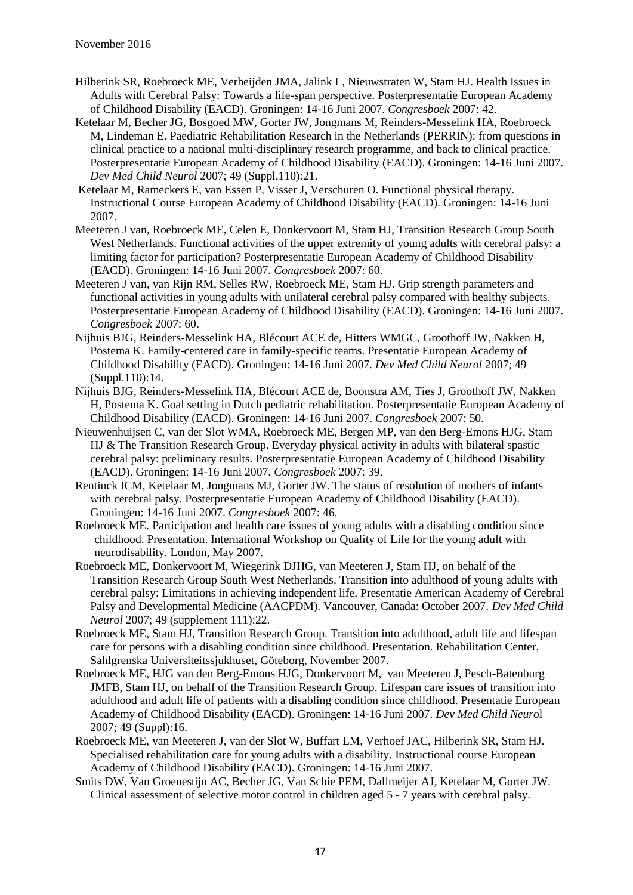- Hilberink SR, Roebroeck ME, Verheijden JMA, Jalink L, Nieuwstraten W, Stam HJ. Health Issues in Adults with Cerebral Palsy: Towards a life-span perspective. Posterpresentatie European Academy of Childhood Disability (EACD). Groningen: 14-16 Juni 2007. *Congresboek* 2007: 42.
- Ketelaar M, Becher JG, Bosgoed MW, Gorter JW, Jongmans M, Reinders-Messelink HA, Roebroeck M, Lindeman E. Paediatric Rehabilitation Research in the Netherlands (PERRIN): from questions in clinical practice to a national multi-disciplinary research programme, and back to clinical practice. Posterpresentatie European Academy of Childhood Disability (EACD). Groningen: 14-16 Juni 2007. *Dev Med Child Neurol* 2007; 49 (Suppl.110):21.
- Ketelaar M, Rameckers E, van Essen P, Visser J, Verschuren O. Functional physical therapy. Instructional Course European Academy of Childhood Disability (EACD). Groningen: 14-16 Juni 2007.
- Meeteren J van, Roebroeck ME, Celen E, Donkervoort M, Stam HJ, Transition Research Group South West Netherlands. Functional activities of the upper extremity of young adults with cerebral palsy: a limiting factor for participation? Posterpresentatie European Academy of Childhood Disability (EACD). Groningen: 14-16 Juni 2007. *Congresboek* 2007: 60.
- Meeteren J van, van Rijn RM, Selles RW, Roebroeck ME, Stam HJ. Grip strength parameters and functional activities in young adults with unilateral cerebral palsy compared with healthy subjects. Posterpresentatie European Academy of Childhood Disability (EACD). Groningen: 14-16 Juni 2007. *Congresboek* 2007: 60.
- Nijhuis BJG, Reinders-Messelink HA, Blécourt ACE de, Hitters WMGC, Groothoff JW, Nakken H, Postema K. Family-centered care in family-specific teams. Presentatie European Academy of Childhood Disability (EACD). Groningen: 14-16 Juni 2007. *Dev Med Child Neurol* 2007; 49 (Suppl.110):14.
- Nijhuis BJG, Reinders-Messelink HA, Blécourt ACE de, Boonstra AM, Ties J, Groothoff JW, Nakken H, Postema K. Goal setting in Dutch pediatric rehabilitation. Posterpresentatie European Academy of Childhood Disability (EACD). Groningen: 14-16 Juni 2007. *Congresboek* 2007: 50.
- Nieuwenhuijsen C, van der Slot WMA, Roebroeck ME, Bergen MP, van den Berg-Emons HJG, Stam HJ & The Transition Research Group. Everyday physical activity in adults with bilateral spastic cerebral palsy: preliminary results. Posterpresentatie European Academy of Childhood Disability (EACD). Groningen: 14-16 Juni 2007. *Congresboek* 2007: 39.
- Rentinck ICM, Ketelaar M, Jongmans MJ, Gorter JW. The status of resolution of mothers of infants with cerebral palsy. Posterpresentatie European Academy of Childhood Disability (EACD). Groningen: 14-16 Juni 2007. *Congresboek* 2007: 46.
- Roebroeck ME. Participation and health care issues of young adults with a disabling condition since childhood. Presentation. International Workshop on Quality of Life for the young adult with neurodisability. London, May 2007.
- Roebroeck ME, Donkervoort M, Wiegerink DJHG, van Meeteren J, Stam HJ, on behalf of the Transition Research Group South West Netherlands. Transition into adulthood of young adults with cerebral palsy: Limitations in achieving independent life. Presentatie American Academy of Cerebral Palsy and Developmental Medicine (AACPDM). Vancouver, Canada: October 2007. *Dev Med Child Neurol* 2007; 49 (supplement 111):22.
- Roebroeck ME, Stam HJ, Transition Research Group. Transition into adulthood, adult life and lifespan care for persons with a disabling condition since childhood. Presentation. Rehabilitation Center, Sahlgrenska Universiteitssjukhuset, Göteborg, November 2007.
- Roebroeck ME, HJG van den Berg-Emons HJG, Donkervoort M, van Meeteren J, Pesch-Batenburg JMFB, Stam HJ, on behalf of the Transition Research Group. Lifespan care issues of transition into adulthood and adult life of patients with a disabling condition since childhood. Presentatie European Academy of Childhood Disability (EACD). Groningen: 14-16 Juni 2007. *Dev Med Child Neuro*l 2007; 49 (Suppl):16.
- Roebroeck ME, van Meeteren J, van der Slot W, Buffart LM, Verhoef JAC, Hilberink SR, Stam HJ. Specialised rehabilitation care for young adults with a disability. Instructional course European Academy of Childhood Disability (EACD). Groningen: 14-16 Juni 2007.
- Smits DW, Van Groenestijn AC, Becher JG, Van Schie PEM, Dallmeijer AJ, Ketelaar M, Gorter JW. Clinical assessment of selective motor control in children aged 5 - 7 years with cerebral palsy.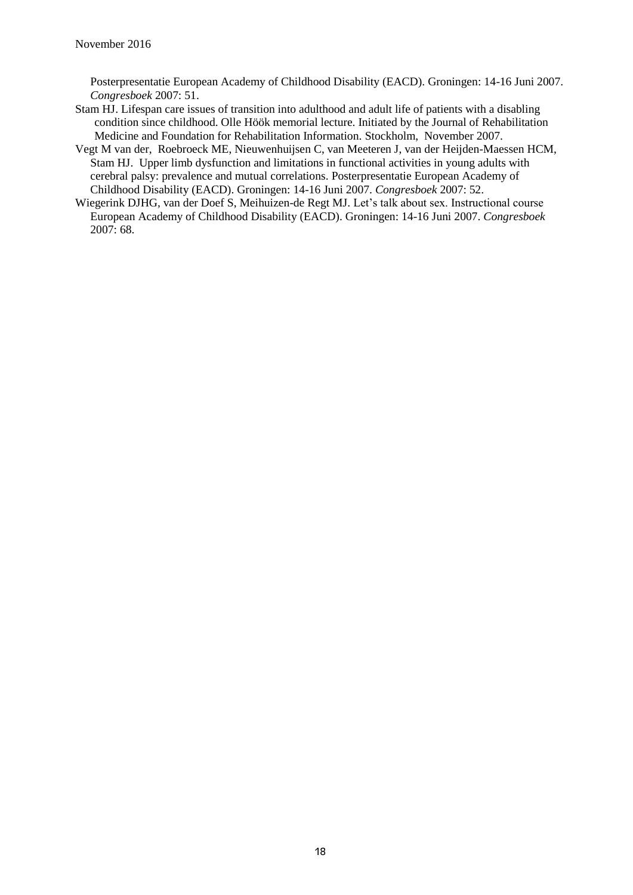Posterpresentatie European Academy of Childhood Disability (EACD). Groningen: 14-16 Juni 2007. *Congresboek* 2007: 51.

- Stam HJ. Lifespan care issues of transition into adulthood and adult life of patients with a disabling condition since childhood. Olle Höök memorial lecture. Initiated by the Journal of Rehabilitation Medicine and Foundation for Rehabilitation Information. Stockholm, November 2007.
- Vegt M van der, Roebroeck ME, Nieuwenhuijsen C, van Meeteren J, van der Heijden-Maessen HCM, Stam HJ. Upper limb dysfunction and limitations in functional activities in young adults with cerebral palsy: prevalence and mutual correlations. Posterpresentatie European Academy of Childhood Disability (EACD). Groningen: 14-16 Juni 2007. *Congresboek* 2007: 52.
- Wiegerink DJHG, van der Doef S, Meihuizen-de Regt MJ. Let's talk about sex. Instructional course European Academy of Childhood Disability (EACD). Groningen: 14-16 Juni 2007. *Congresboek*  2007: 68.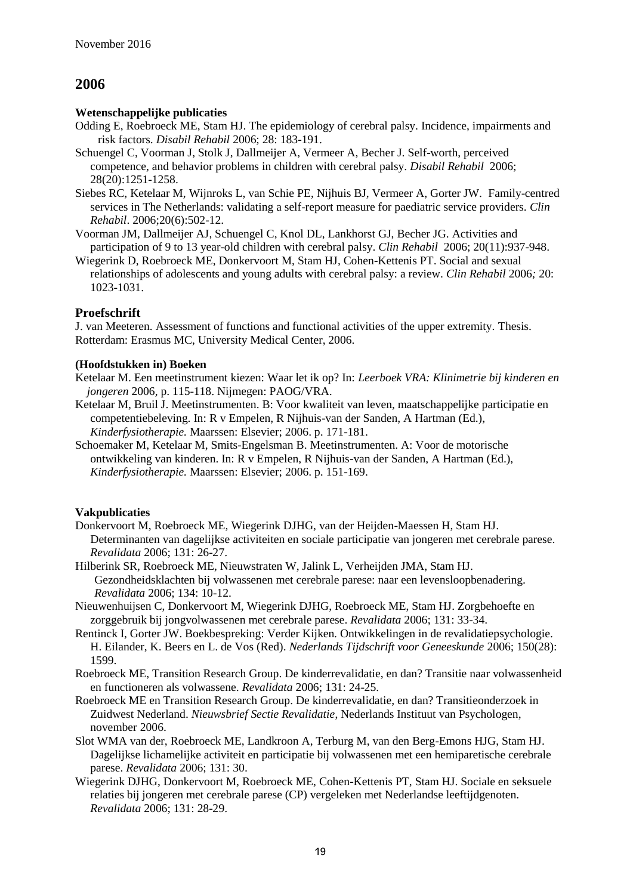#### **Wetenschappelijke publicaties**

- Odding E, Roebroeck ME, Stam HJ. The epidemiology of cerebral palsy. Incidence, impairments and risk factors. *Disabil Rehabil* 2006; 28: 183-191.
- Schuengel C, Voorman J, Stolk J, Dallmeijer A, Vermeer A, Becher J. Self-worth, perceived competence, and behavior problems in children with cerebral palsy. *Disabil Rehabil* 2006; 28(20):1251-1258.
- Siebes RC, Ketelaar M, Wijnroks L, van Schie PE, Nijhuis BJ, Vermeer A, Gorter JW. Family-centred services in The Netherlands: validating a self-report measure for paediatric service providers. *Clin Rehabil*. 2006;20(6):502-12.
- Voorman JM, Dallmeijer AJ, Schuengel C, Knol DL, Lankhorst GJ, Becher JG. Activities and participation of 9 to 13 year-old children with cerebral palsy. *Clin Rehabil* 2006; 20(11):937-948.
- Wiegerink D, Roebroeck ME, Donkervoort M, Stam HJ, Cohen-Kettenis PT. Social and sexual relationships of adolescents and young adults with cerebral palsy: a review. *Clin Rehabil* 2006*;* 20: 1023-1031.

### **Proefschrift**

J. van Meeteren. Assessment of functions and functional activities of the upper extremity. Thesis. Rotterdam: Erasmus MC, University Medical Center, 2006.

#### **(Hoofdstukken in) Boeken**

- Ketelaar M. Een meetinstrument kiezen: Waar let ik op? In: *Leerboek VRA: Klinimetrie bij kinderen en jongeren* 2006*,* p. 115-118. Nijmegen: PAOG/VRA.
- Ketelaar M, Bruil J. Meetinstrumenten. B: Voor kwaliteit van leven, maatschappelijke participatie en competentiebeleving. In: R v Empelen, R Nijhuis-van der Sanden, A Hartman (Ed.), *Kinderfysiotherapie.* Maarssen: Elsevier; 2006. p. 171-181.
- Schoemaker M, Ketelaar M, Smits-Engelsman B. Meetinstrumenten. A: Voor de motorische ontwikkeling van kinderen. In: R v Empelen, R Nijhuis-van der Sanden, A Hartman (Ed.), *Kinderfysiotherapie.* Maarssen: Elsevier; 2006. p. 151-169.

### **Vakpublicaties**

- Donkervoort M, Roebroeck ME, Wiegerink DJHG, van der Heijden-Maessen H, Stam HJ. Determinanten van dagelijkse activiteiten en sociale participatie van jongeren met cerebrale parese. *Revalidata* 2006; 131: 26-27.
- Hilberink SR, Roebroeck ME, Nieuwstraten W, Jalink L, Verheijden JMA, Stam HJ. Gezondheidsklachten bij volwassenen met cerebrale parese: naar een levensloopbenadering. *Revalidata* 2006; 134: 10-12.
- Nieuwenhuijsen C, Donkervoort M, Wiegerink DJHG, Roebroeck ME, Stam HJ. Zorgbehoefte en zorggebruik bij jongvolwassenen met cerebrale parese. *Revalidata* 2006; 131: 33-34.
- Rentinck I, Gorter JW. Boekbespreking: Verder Kijken. Ontwikkelingen in de revalidatiepsychologie. H. Eilander, K. Beers en L. de Vos (Red). *Nederlands Tijdschrift voor Geneeskunde* 2006; 150(28): 1599.
- Roebroeck ME, Transition Research Group. De kinderrevalidatie, en dan? Transitie naar volwassenheid en functioneren als volwassene. *Revalidata* 2006; 131: 24-25.
- Roebroeck ME en Transition Research Group. De kinderrevalidatie, en dan? Transitieonderzoek in Zuidwest Nederland. *Nieuwsbrief Sectie Revalidatie*, Nederlands Instituut van Psychologen, november 2006.
- Slot WMA van der, Roebroeck ME, Landkroon A, Terburg M, van den Berg-Emons HJG, Stam HJ. Dagelijkse lichamelijke activiteit en participatie bij volwassenen met een hemiparetische cerebrale parese. *Revalidata* 2006; 131: 30.
- Wiegerink DJHG, Donkervoort M, Roebroeck ME, Cohen-Kettenis PT, Stam HJ. Sociale en seksuele relaties bij jongeren met cerebrale parese (CP) vergeleken met Nederlandse leeftijdgenoten. *Revalidata* 2006; 131: 28-29.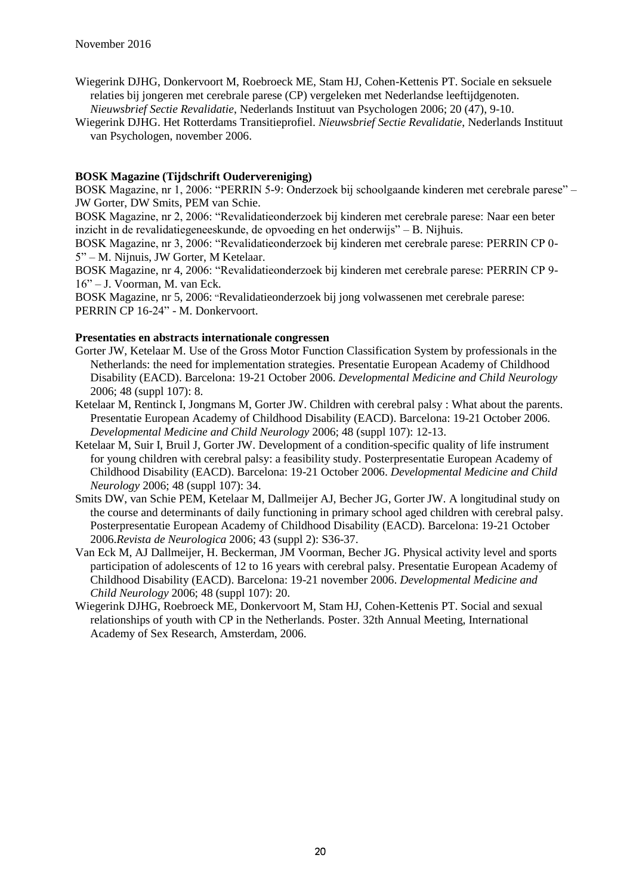- Wiegerink DJHG, Donkervoort M, Roebroeck ME, Stam HJ, Cohen-Kettenis PT. Sociale en seksuele relaties bij jongeren met cerebrale parese (CP) vergeleken met Nederlandse leeftijdgenoten. *Nieuwsbrief Sectie Revalidatie*, Nederlands Instituut van Psychologen 2006; 20 (47), 9-10.
- Wiegerink DJHG. Het Rotterdams Transitieprofiel. *Nieuwsbrief Sectie Revalidatie*, Nederlands Instituut van Psychologen, november 2006.

#### **BOSK Magazine (Tijdschrift Oudervereniging)**

BOSK Magazine, nr 1, 2006: "PERRIN 5-9: Onderzoek bij schoolgaande kinderen met cerebrale parese" – JW Gorter, DW Smits, PEM van Schie.

BOSK Magazine, nr 2, 2006: "Revalidatieonderzoek bij kinderen met cerebrale parese: Naar een beter inzicht in de revalidatiegeneeskunde, de opvoeding en het onderwijs" – B. Nijhuis.

BOSK Magazine, nr 3, 2006: "Revalidatieonderzoek bij kinderen met cerebrale parese: PERRIN CP 0- 5" – M. Nijnuis, JW Gorter, M Ketelaar.

BOSK Magazine, nr 4, 2006: "Revalidatieonderzoek bij kinderen met cerebrale parese: PERRIN CP 9- 16" – J. Voorman, M. van Eck.

BOSK Magazine, nr 5, 2006: "Revalidatieonderzoek bij jong volwassenen met cerebrale parese: PERRIN CP 16-24" - M. Donkervoort.

- Gorter JW, Ketelaar M. Use of the Gross Motor Function Classification System by professionals in the Netherlands: the need for implementation strategies. Presentatie European Academy of Childhood Disability (EACD). Barcelona: 19-21 October 2006. *Developmental Medicine and Child Neurology* 2006; 48 (suppl 107): 8.
- Ketelaar M, Rentinck I, Jongmans M, Gorter JW. Children with cerebral palsy : What about the parents. Presentatie European Academy of Childhood Disability (EACD). Barcelona: 19-21 October 2006. *Developmental Medicine and Child Neurology* 2006; 48 (suppl 107): 12-13.
- Ketelaar M, Suir I, Bruil J, Gorter JW. Development of a condition-specific quality of life instrument for young children with cerebral palsy: a feasibility study. Posterpresentatie European Academy of Childhood Disability (EACD). Barcelona: 19-21 October 2006. *Developmental Medicine and Child Neurology* 2006; 48 (suppl 107): 34.
- Smits DW, van Schie PEM, Ketelaar M, Dallmeijer AJ, Becher JG, Gorter JW. A longitudinal study on the course and determinants of daily functioning in primary school aged children with cerebral palsy. Posterpresentatie European Academy of Childhood Disability (EACD). Barcelona: 19-21 October 2006.*Revista de Neurologica* 2006; 43 (suppl 2): S36-37.
- Van Eck M, AJ Dallmeijer, H. Beckerman, JM Voorman, Becher JG. Physical activity level and sports participation of adolescents of 12 to 16 years with cerebral palsy. Presentatie European Academy of Childhood Disability (EACD). Barcelona: 19-21 november 2006. *Developmental Medicine and Child Neurology* 2006; 48 (suppl 107): 20.
- Wiegerink DJHG, Roebroeck ME, Donkervoort M, Stam HJ, Cohen-Kettenis PT. Social and sexual relationships of youth with CP in the Netherlands. Poster. 32th Annual Meeting, International Academy of Sex Research, Amsterdam, 2006.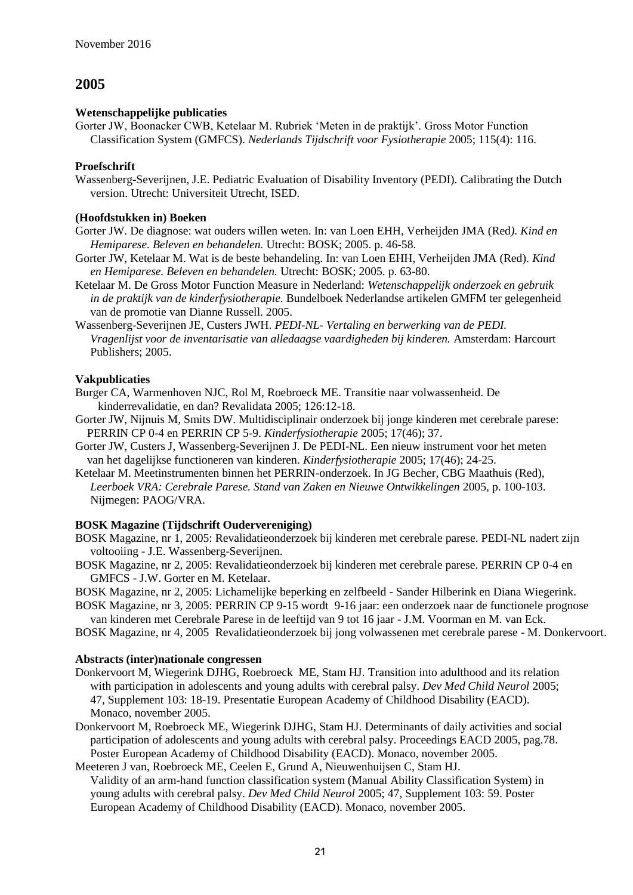### **Wetenschappelijke publicaties**

Gorter JW, Boonacker CWB, Ketelaar M. Rubriek 'Meten in de praktijk'. Gross Motor Function Classification System (GMFCS). *Nederlands Tijdschrift voor Fysiotherapie* 2005; 115(4): 116.

#### **Proefschrift**

Wassenberg-Severijnen, J.E. Pediatric Evaluation of Disability Inventory (PEDI). Calibrating the Dutch version. Utrecht: Universiteit Utrecht, ISED.

#### **(Hoofdstukken in) Boeken**

- Gorter JW. De diagnose: wat ouders willen weten. In: van Loen EHH, Verheijden JMA (Red*). Kind en Hemiparese. Beleven en behandelen.* Utrecht: BOSK; 2005. p. 46-58.
- Gorter JW, Ketelaar M. Wat is de beste behandeling. In: van Loen EHH, Verheijden JMA (Red). *Kind en Hemiparese. Beleven en behandelen.* Utrecht: BOSK; 2005. p. 63-80.
- Ketelaar M. De Gross Motor Function Measure in Nederland: *Wetenschappelijk onderzoek en gebruik in de praktijk van de kinderfysiotherapie.* Bundelboek Nederlandse artikelen GMFM ter gelegenheid van de promotie van Dianne Russell. 2005.
- Wassenberg-Severijnen JE, Custers JWH. *PEDI-NL- Vertaling en berwerking van de PEDI. Vragenlijst voor de inventarisatie van alledaagse vaardigheden bij kinderen.* Amsterdam: Harcourt Publishers; 2005.

### **Vakpublicaties**

- Burger CA, Warmenhoven NJC, Rol M, Roebroeck ME. Transitie naar volwassenheid. De kinderrevalidatie, en dan? Revalidata 2005; 126:12-18.
- Gorter JW, Nijnuis M, Smits DW. Multidisciplinair onderzoek bij jonge kinderen met cerebrale parese: PERRIN CP 0-4 en PERRIN CP 5-9. *Kinderfysiotherapie* 2005; 17(46); 37.
- Gorter JW, Custers J, Wassenberg-Severijnen J. De PEDI-NL. Een nieuw instrument voor het meten van het dagelijkse functioneren van kinderen. *Kinderfysiotherapie* 2005; 17(46); 24-25.
- Ketelaar M. Meetinstrumenten binnen het PERRIN-onderzoek. In JG Becher, CBG Maathuis (Red), *Leerboek VRA: Cerebrale Parese. Stand van Zaken en Nieuwe Ontwikkelingen* 2005*,* p. 100-103. Nijmegen: PAOG/VRA.

### **BOSK Magazine (Tijdschrift Oudervereniging)**

- BOSK Magazine, nr 1, 2005: Revalidatieonderzoek bij kinderen met cerebrale parese. PEDI-NL nadert zijn voltooiing - J.E. Wassenberg-Severijnen.
- BOSK Magazine, nr 2, 2005: Revalidatieonderzoek bij kinderen met cerebrale parese. PERRIN CP 0-4 en GMFCS - J.W. Gorter en M. Ketelaar.

BOSK Magazine, nr 2, 2005: Lichamelijke beperking en zelfbeeld - Sander Hilberink en Diana Wiegerink.

- BOSK Magazine, nr 3, 2005: PERRIN CP 9-15 wordt 9-16 jaar: een onderzoek naar de functionele prognose van kinderen met Cerebrale Parese in de leeftijd van 9 tot 16 jaar - J.M. Voorman en M. van Eck.
- BOSK Magazine, nr 4, 2005 Revalidatieonderzoek bij jong volwassenen met cerebrale parese M. Donkervoort.

- Donkervoort M, Wiegerink DJHG, Roebroeck ME, Stam HJ. Transition into adulthood and its relation with participation in adolescents and young adults with cerebral palsy. *Dev Med Child Neurol* 2005; 47, Supplement 103: 18-19. Presentatie European Academy of Childhood Disability (EACD). Monaco, november 2005.
- Donkervoort M, Roebroeck ME, Wiegerink DJHG, Stam HJ. Determinants of daily activities and social participation of adolescents and young adults with cerebral palsy. Proceedings EACD 2005, pag.78. Poster European Academy of Childhood Disability (EACD). Monaco, november 2005.
- Meeteren J van, Roebroeck ME, Ceelen E, Grund A, Nieuwenhuijsen C, Stam HJ. Validity of an arm-hand function classification system (Manual Ability Classification System) in young adults with cerebral palsy. *Dev Med Child Neurol* 2005; 47, Supplement 103: 59. Poster European Academy of Childhood Disability (EACD). Monaco, november 2005.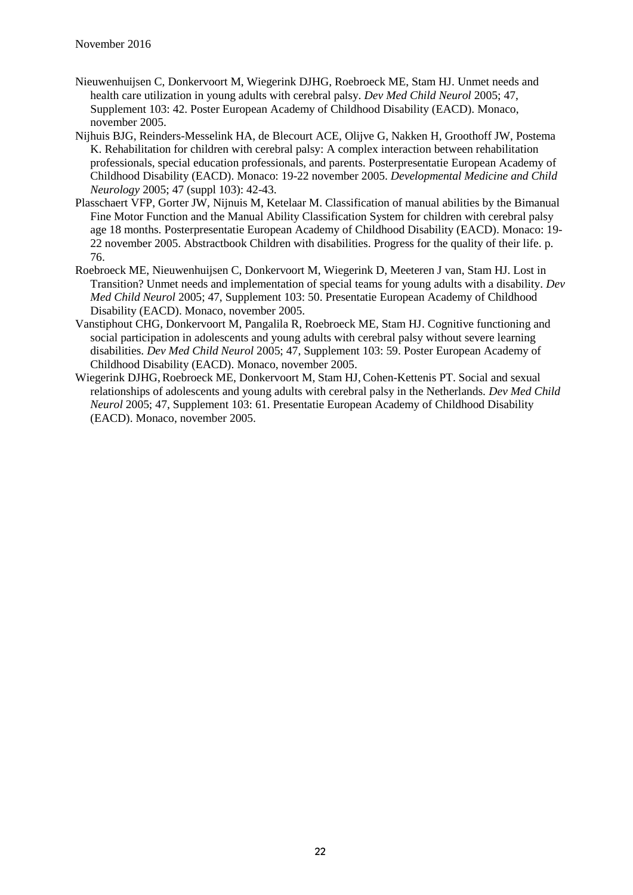- Nieuwenhuijsen C, Donkervoort M, Wiegerink DJHG, Roebroeck ME, Stam HJ. Unmet needs and health care utilization in young adults with cerebral palsy. *Dev Med Child Neurol* 2005; 47, Supplement 103: 42. Poster European Academy of Childhood Disability (EACD). Monaco, november 2005.
- Nijhuis BJG, Reinders-Messelink HA, de Blecourt ACE, Olijve G, Nakken H, Groothoff JW, Postema K. Rehabilitation for children with cerebral palsy: A complex interaction between rehabilitation professionals, special education professionals, and parents. Posterpresentatie European Academy of Childhood Disability (EACD). Monaco: 19-22 november 2005. *Developmental Medicine and Child Neurology* 2005; 47 (suppl 103): 42-43.
- Plasschaert VFP, Gorter JW, Nijnuis M, Ketelaar M. Classification of manual abilities by the Bimanual Fine Motor Function and the Manual Ability Classification System for children with cerebral palsy age 18 months. Posterpresentatie European Academy of Childhood Disability (EACD). Monaco: 19- 22 november 2005. Abstractbook Children with disabilities. Progress for the quality of their life. p. 76.
- Roebroeck ME, Nieuwenhuijsen C, Donkervoort M, Wiegerink D, Meeteren J van, Stam HJ. Lost in Transition? Unmet needs and implementation of special teams for young adults with a disability. *Dev Med Child Neurol* 2005; 47, Supplement 103: 50. Presentatie European Academy of Childhood Disability (EACD). Monaco, november 2005.
- Vanstiphout CHG, Donkervoort M, Pangalila R, Roebroeck ME, Stam HJ. Cognitive functioning and social participation in adolescents and young adults with cerebral palsy without severe learning disabilities. *Dev Med Child Neurol* 2005; 47, Supplement 103: 59. Poster European Academy of Childhood Disability (EACD). Monaco, november 2005.
- Wiegerink DJHG, Roebroeck ME, Donkervoort M, Stam HJ, Cohen-Kettenis PT. Social and sexual relationships of adolescents and young adults with cerebral palsy in the Netherlands. *Dev Med Child Neurol* 2005; 47, Supplement 103: 61. Presentatie European Academy of Childhood Disability (EACD). Monaco, november 2005.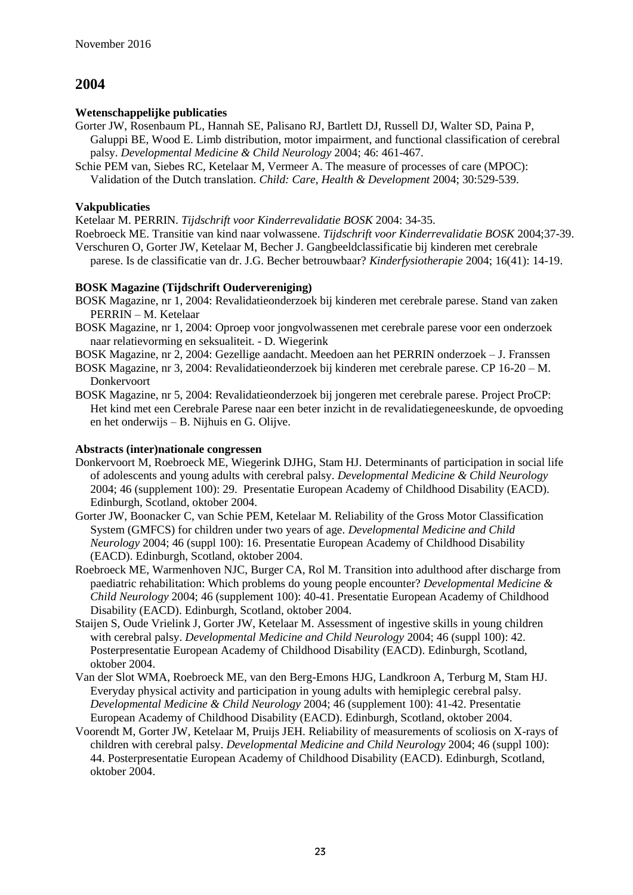### **Wetenschappelijke publicaties**

- Gorter JW, Rosenbaum PL, Hannah SE, Palisano RJ, Bartlett DJ, Russell DJ, Walter SD, Paina P, Galuppi BE, Wood E. Limb distribution, motor impairment, and functional classification of cerebral palsy. *Developmental Medicine & Child Neurology* 2004; 46: 461-467.
- Schie PEM van, Siebes RC, Ketelaar M, Vermeer A. The measure of processes of care (MPOC): Validation of the Dutch translation. *Child: Care, Health & Development* 2004; 30:529-539.

### **Vakpublicaties**

Ketelaar M. PERRIN. *Tijdschrift voor Kinderrevalidatie BOSK* 2004: 34-35.

Roebroeck ME. Transitie van kind naar volwassene. *Tijdschrift voor Kinderrevalidatie BOSK* 2004;37-39. Verschuren O, Gorter JW, Ketelaar M, Becher J. Gangbeeldclassificatie bij kinderen met cerebrale parese. Is de classificatie van dr. J.G. Becher betrouwbaar? *Kinderfysiotherapie* 2004; 16(41): 14-19.

### **BOSK Magazine (Tijdschrift Oudervereniging)**

- BOSK Magazine, nr 1, 2004: Revalidatieonderzoek bij kinderen met cerebrale parese. Stand van zaken PERRIN – M. Ketelaar
- BOSK Magazine, nr 1, 2004: Oproep voor jongvolwassenen met cerebrale parese voor een onderzoek naar relatievorming en seksualiteit. - D. Wiegerink
- BOSK Magazine, nr 2, 2004: Gezellige aandacht. Meedoen aan het PERRIN onderzoek J. Franssen
- BOSK Magazine, nr 3, 2004: Revalidatieonderzoek bij kinderen met cerebrale parese. CP 16-20 M. Donkervoort
- BOSK Magazine, nr 5, 2004: Revalidatieonderzoek bij jongeren met cerebrale parese. Project ProCP: Het kind met een Cerebrale Parese naar een beter inzicht in de revalidatiegeneeskunde, de opvoeding en het onderwijs – B. Nijhuis en G. Olijve.

- Donkervoort M, Roebroeck ME, Wiegerink DJHG, Stam HJ. Determinants of participation in social life of adolescents and young adults with cerebral palsy. *Developmental Medicine & Child Neurology* 2004; 46 (supplement 100): 29. Presentatie European Academy of Childhood Disability (EACD). Edinburgh, Scotland, oktober 2004.
- Gorter JW, Boonacker C, van Schie PEM, Ketelaar M. Reliability of the Gross Motor Classification System (GMFCS) for children under two years of age. *Developmental Medicine and Child Neurology* 2004; 46 (suppl 100): 16. Presentatie European Academy of Childhood Disability (EACD). Edinburgh, Scotland, oktober 2004.
- Roebroeck ME, Warmenhoven NJC, Burger CA, Rol M. Transition into adulthood after discharge from paediatric rehabilitation: Which problems do young people encounter? *Developmental Medicine & Child Neurology* 2004; 46 (supplement 100): 40-41. Presentatie European Academy of Childhood Disability (EACD). Edinburgh, Scotland, oktober 2004.
- Staijen S, Oude Vrielink J, Gorter JW, Ketelaar M. Assessment of ingestive skills in young children with cerebral palsy. *Developmental Medicine and Child Neurology* 2004; 46 (suppl 100): 42. Posterpresentatie European Academy of Childhood Disability (EACD). Edinburgh, Scotland, oktober 2004.
- Van der Slot WMA, Roebroeck ME, van den Berg-Emons HJG, Landkroon A, Terburg M, Stam HJ. Everyday physical activity and participation in young adults with hemiplegic cerebral palsy. *Developmental Medicine & Child Neurology* 2004; 46 (supplement 100): 41-42. Presentatie European Academy of Childhood Disability (EACD). Edinburgh, Scotland, oktober 2004.
- Voorendt M, Gorter JW, Ketelaar M, Pruijs JEH. Reliability of measurements of scoliosis on X-rays of children with cerebral palsy. *Developmental Medicine and Child Neurology* 2004; 46 (suppl 100): 44. Posterpresentatie European Academy of Childhood Disability (EACD). Edinburgh, Scotland, oktober 2004.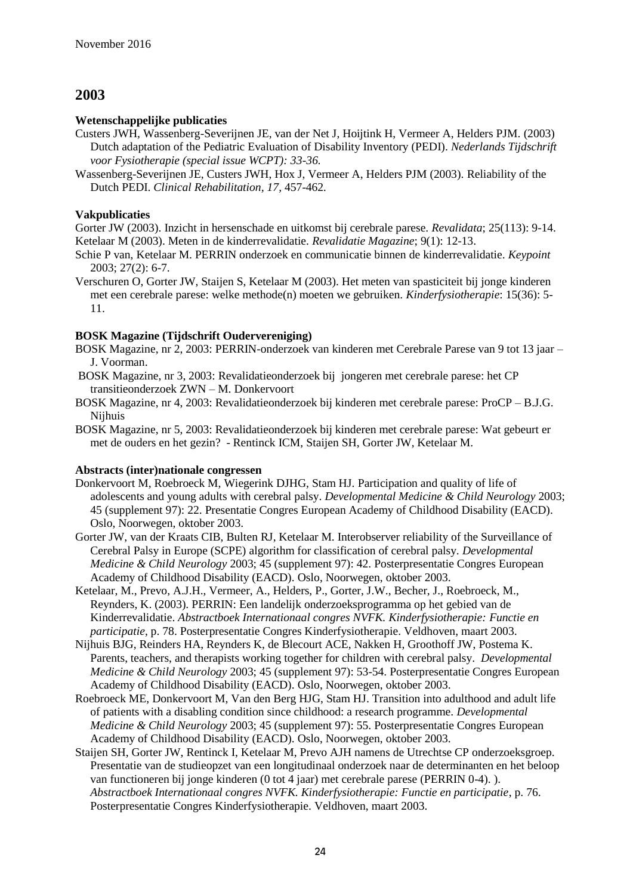#### **Wetenschappelijke publicaties**

- Custers JWH, Wassenberg-Severijnen JE, van der Net J, Hoijtink H, Vermeer A, Helders PJM. (2003) Dutch adaptation of the Pediatric Evaluation of Disability Inventory (PEDI). *Nederlands Tijdschrift voor Fysiotherapie (special issue WCPT): 33-36.*
- Wassenberg-Severijnen JE, Custers JWH, Hox J, Vermeer A, Helders PJM (2003). Reliability of the Dutch PEDI. *Clinical Rehabilitation, 17,* 457-462*.*

#### **Vakpublicaties**

Gorter JW (2003). Inzicht in hersenschade en uitkomst bij cerebrale parese. *Revalidata*; 25(113): 9-14. Ketelaar M (2003). Meten in de kinderrevalidatie. *Revalidatie Magazine*; 9(1): 12-13.

- Schie P van, Ketelaar M. PERRIN onderzoek en communicatie binnen de kinderrevalidatie. *Keypoint* 2003; 27(2): 6-7.
- Verschuren O, Gorter JW, Staijen S, Ketelaar M (2003). Het meten van spasticiteit bij jonge kinderen met een cerebrale parese: welke methode(n) moeten we gebruiken. *Kinderfysiotherapie*: 15(36): 5- 11.

#### **BOSK Magazine (Tijdschrift Oudervereniging)**

- BOSK Magazine, nr 2, 2003: PERRIN-onderzoek van kinderen met Cerebrale Parese van 9 tot 13 jaar J. Voorman.
- BOSK Magazine, nr 3, 2003: Revalidatieonderzoek bij jongeren met cerebrale parese: het CP transitieonderzoek ZWN – M. Donkervoort
- BOSK Magazine, nr 4, 2003: Revalidatieonderzoek bij kinderen met cerebrale parese: ProCP B.J.G. Nijhuis
- BOSK Magazine, nr 5, 2003: Revalidatieonderzoek bij kinderen met cerebrale parese: Wat gebeurt er met de ouders en het gezin? - Rentinck ICM, Staijen SH, Gorter JW, Ketelaar M.

- Donkervoort M, Roebroeck M, Wiegerink DJHG, Stam HJ. Participation and quality of life of adolescents and young adults with cerebral palsy. *Developmental Medicine & Child Neurology* 2003; 45 (supplement 97): 22. Presentatie Congres European Academy of Childhood Disability (EACD). Oslo, Noorwegen, oktober 2003.
- Gorter JW, van der Kraats CIB, Bulten RJ, Ketelaar M. Interobserver reliability of the Surveillance of Cerebral Palsy in Europe (SCPE) algorithm for classification of cerebral palsy. *Developmental Medicine & Child Neurology* 2003; 45 (supplement 97): 42. Posterpresentatie Congres European Academy of Childhood Disability (EACD). Oslo, Noorwegen, oktober 2003.
- Ketelaar, M., Prevo, A.J.H., Vermeer, A., Helders, P., Gorter, J.W., Becher, J., Roebroeck, M., Reynders, K. (2003). PERRIN: Een landelijk onderzoeksprogramma op het gebied van de Kinderrevalidatie. *Abstractboek Internationaal congres NVFK. Kinderfysiotherapie: Functie en participatie*, p. 78. Posterpresentatie Congres Kinderfysiotherapie. Veldhoven, maart 2003.
- Nijhuis BJG, Reinders HA, Reynders K, de Blecourt ACE, Nakken H, Groothoff JW, Postema K. Parents, teachers, and therapists working together for children with cerebral palsy. *Developmental Medicine & Child Neurology* 2003; 45 (supplement 97): 53-54. Posterpresentatie Congres European Academy of Childhood Disability (EACD). Oslo, Noorwegen, oktober 2003.
- Roebroeck ME, Donkervoort M, Van den Berg HJG, Stam HJ. Transition into adulthood and adult life of patients with a disabling condition since childhood: a research programme. *Developmental Medicine & Child Neurology* 2003; 45 (supplement 97): 55. Posterpresentatie Congres European Academy of Childhood Disability (EACD). Oslo, Noorwegen, oktober 2003.
- Staijen SH, Gorter JW, Rentinck I, Ketelaar M, Prevo AJH namens de Utrechtse CP onderzoeksgroep. Presentatie van de studieopzet van een longitudinaal onderzoek naar de determinanten en het beloop van functioneren bij jonge kinderen (0 tot 4 jaar) met cerebrale parese (PERRIN 0-4). ). *Abstractboek Internationaal congres NVFK. Kinderfysiotherapie: Functie en participatie*, p. 76. Posterpresentatie Congres Kinderfysiotherapie. Veldhoven, maart 2003.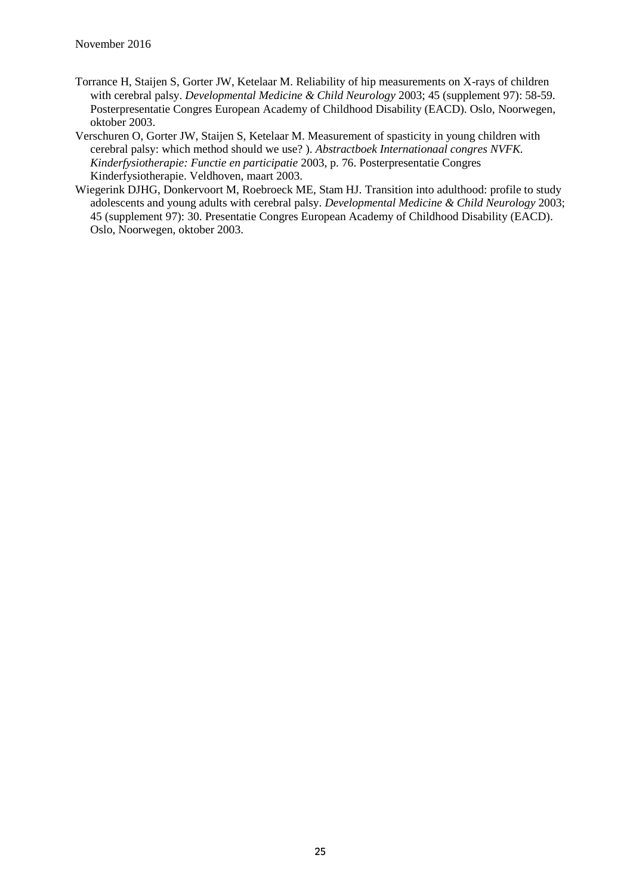- Torrance H, Staijen S, Gorter JW, Ketelaar M. Reliability of hip measurements on X-rays of children with cerebral palsy. *Developmental Medicine & Child Neurology* 2003; 45 (supplement 97): 58-59. Posterpresentatie Congres European Academy of Childhood Disability (EACD). Oslo, Noorwegen, oktober 2003.
- Verschuren O, Gorter JW, Staijen S, Ketelaar M. Measurement of spasticity in young children with cerebral palsy: which method should we use? ). *Abstractboek Internationaal congres NVFK. Kinderfysiotherapie: Functie en participatie* 2003, p. 76. Posterpresentatie Congres Kinderfysiotherapie. Veldhoven, maart 2003.
- Wiegerink DJHG, Donkervoort M, Roebroeck ME, Stam HJ. Transition into adulthood: profile to study adolescents and young adults with cerebral palsy. *Developmental Medicine & Child Neurology* 2003; 45 (supplement 97): 30. Presentatie Congres European Academy of Childhood Disability (EACD). Oslo, Noorwegen, oktober 2003.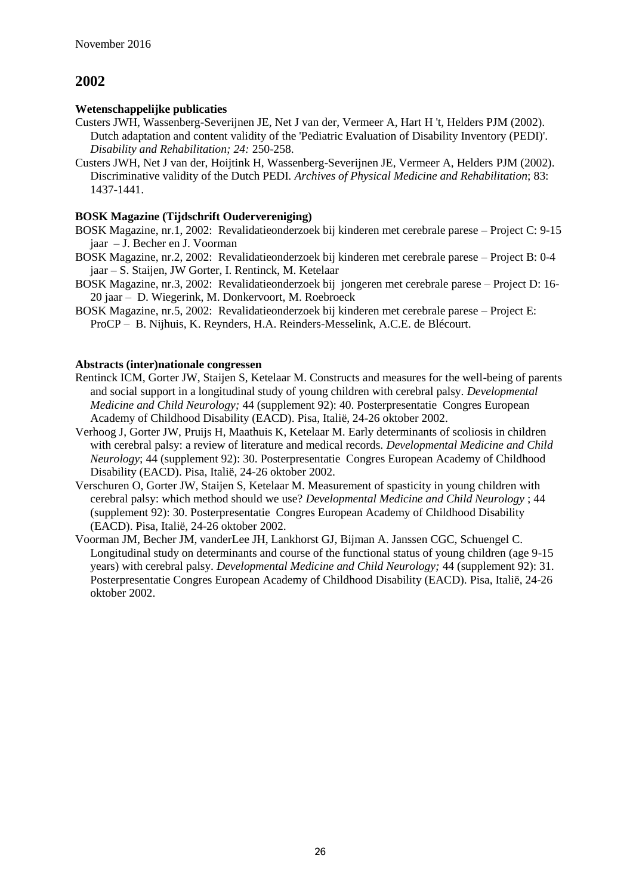#### **Wetenschappelijke publicaties**

- Custers JWH, Wassenberg-Severijnen JE, Net J van der, Vermeer A, Hart H 't, Helders PJM (2002). Dutch adaptation and content validity of the 'Pediatric Evaluation of Disability Inventory (PEDI)'. *Disability and Rehabilitation; 24:* 250-258.
- Custers JWH, Net J van der, Hoijtink H, Wassenberg-Severijnen JE, Vermeer A, Helders PJM (2002). Discriminative validity of the Dutch PEDI. *Archives of Physical Medicine and Rehabilitation*; 83: 1437-1441.

#### **BOSK Magazine (Tijdschrift Oudervereniging)**

- BOSK Magazine, nr.1, 2002: Revalidatieonderzoek bij kinderen met cerebrale parese Project C: 9-15 jaar – J. Becher en J. Voorman
- BOSK Magazine, nr.2, 2002: Revalidatieonderzoek bij kinderen met cerebrale parese Project B: 0-4 jaar – S. Staijen, JW Gorter, I. Rentinck, M. Ketelaar
- BOSK Magazine, nr.3, 2002: Revalidatieonderzoek bij jongeren met cerebrale parese Project D: 16- 20 jaar – D. Wiegerink, M. Donkervoort, M. Roebroeck
- BOSK Magazine, nr.5, 2002: Revalidatieonderzoek bij kinderen met cerebrale parese Project E: ProCP – B. Nijhuis, K. Reynders, H.A. Reinders-Messelink, A.C.E. de Blécourt.

- Rentinck ICM, Gorter JW, Staijen S, Ketelaar M. Constructs and measures for the well-being of parents and social support in a longitudinal study of young children with cerebral palsy. *Developmental Medicine and Child Neurology;* 44 (supplement 92): 40. Posterpresentatie Congres European Academy of Childhood Disability (EACD). Pisa, Italië, 24-26 oktober 2002.
- Verhoog J, Gorter JW, Pruijs H, Maathuis K, Ketelaar M. Early determinants of scoliosis in children with cerebral palsy: a review of literature and medical records. *Developmental Medicine and Child Neurology*; 44 (supplement 92): 30. Posterpresentatie Congres European Academy of Childhood Disability (EACD). Pisa, Italië, 24-26 oktober 2002.
- Verschuren O, Gorter JW, Staijen S, Ketelaar M. Measurement of spasticity in young children with cerebral palsy: which method should we use? *Developmental Medicine and Child Neurology* ; 44 (supplement 92): 30. Posterpresentatie Congres European Academy of Childhood Disability (EACD). Pisa, Italië, 24-26 oktober 2002.
- Voorman JM, Becher JM, vanderLee JH, Lankhorst GJ, Bijman A. Janssen CGC, Schuengel C. Longitudinal study on determinants and course of the functional status of young children (age 9-15 years) with cerebral palsy. *Developmental Medicine and Child Neurology;* 44 (supplement 92): 31. Posterpresentatie Congres European Academy of Childhood Disability (EACD). Pisa, Italië, 24-26 oktober 2002.